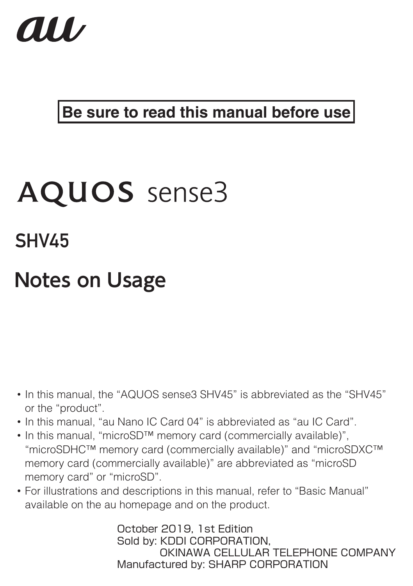

### **Be sure to read this manual before use**

# AOUOS sense3

**SHV45** 

# **Notes on Usage**

- In this manual, the "AQUOS sense3 SHV45" is abbreviated as the "SHV45" or the "product".
- In this manual, "au Nano IC Card 04" is abbreviated as "au IC Card".
- In this manual, "microSD™ memory card (commercially available)", "microSDHC™ memory card (commercially available)" and "microSDXC™ memory card (commercially available)" are abbreviated as "microSD memory card" or "microSD".
- For illustrations and descriptions in this manual, refer to "Basic Manual" available on the au homepage and on the product.

October 2019, 1st Edition Sold by: KDDI CORPORATION, OKINAWA CELLULAR TELEPHONE COMPANY Manufactured by: SHARP CORPORATION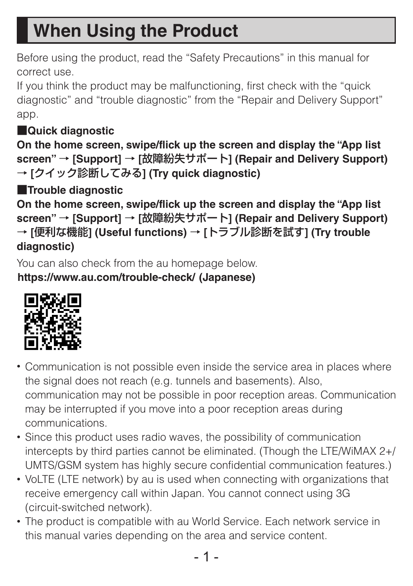# **When Using the Product**

Before using the product, read the "Safety Precautions" in this manual for correct use.

If you think the product may be malfunctioning, first check with the "quick diagnostic" and "trouble diagnostic" from the "Repair and Delivery Support" app.

### ■**Quick diagnostic**

**On the home screen, swipe/flick up the screen and display the "App list screen"** → **[Support]** → **[**故障紛失サポート**] (Repair and Delivery Support)**  → **[**クイック診断してみる**] (Try quick diagnostic)**

■**Trouble diagnostic**

**On the home screen, swipe/flick up the screen and display the "App list screen"** → **[Support]** → **[**故障紛失サポート**] (Repair and Delivery Support)**  → **[**便利な機能**] (Useful functions)** → **[**トラブル診断を試す**] (Try trouble diagnostic)**

You can also check from the au homepage below. (**https://www.au.com/trouble-check/**) **(Japanese)**



- Communication is not possible even inside the service area in places where the signal does not reach (e.g. tunnels and basements). Also, communication may not be possible in poor reception areas. Communication may be interrupted if you move into a poor reception areas during communications.
- Since this product uses radio waves, the possibility of communication intercepts by third parties cannot be eliminated. (Though the LTE/WiMAX 2+/ UMTS/GSM system has highly secure confidential communication features.)
- VoLTE (LTE network) by au is used when connecting with organizations that receive emergency call within Japan. You cannot connect using 3G (circuit-switched network).
- The product is compatible with au World Service. Each network service in this manual varies depending on the area and service content.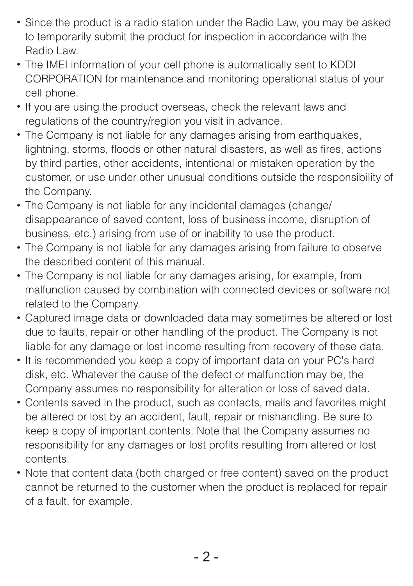- Since the product is a radio station under the Radio Law, you may be asked to temporarily submit the product for inspection in accordance with the Radio Law.
- The IMEI information of your cell phone is automatically sent to KDDI CORPORATION for maintenance and monitoring operational status of your cell phone.
- If you are using the product overseas, check the relevant laws and regulations of the country/region you visit in advance.
- The Company is not liable for any damages arising from earthquakes, lightning, storms, floods or other natural disasters, as well as fires, actions by third parties, other accidents, intentional or mistaken operation by the customer, or use under other unusual conditions outside the responsibility of the Company.
- The Company is not liable for any incidental damages (change/ disappearance of saved content, loss of business income, disruption of business, etc.) arising from use of or inability to use the product.
- The Company is not liable for any damages arising from failure to observe the described content of this manual.
- The Company is not liable for any damages arising, for example, from malfunction caused by combination with connected devices or software not related to the Company.
- Captured image data or downloaded data may sometimes be altered or lost due to faults, repair or other handling of the product. The Company is not liable for any damage or lost income resulting from recovery of these data.
- It is recommended you keep a copy of important data on your PC's hard disk, etc. Whatever the cause of the defect or malfunction may be, the Company assumes no responsibility for alteration or loss of saved data.
- Contents saved in the product, such as contacts, mails and favorites might be altered or lost by an accident, fault, repair or mishandling. Be sure to keep a copy of important contents. Note that the Company assumes no responsibility for any damages or lost profits resulting from altered or lost contents.
- Note that content data (both charged or free content) saved on the product cannot be returned to the customer when the product is replaced for repair of a fault, for example.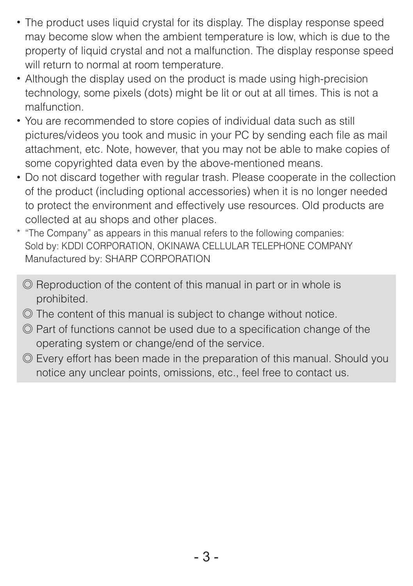- The product uses liquid crystal for its display. The display response speed may become slow when the ambient temperature is low, which is due to the property of liquid crystal and not a malfunction. The display response speed will return to normal at room temperature.
- Although the display used on the product is made using high-precision technology, some pixels (dots) might be lit or out at all times. This is not a malfunction.
- You are recommended to store copies of individual data such as still pictures/videos you took and music in your PC by sending each file as mail attachment, etc. Note, however, that you may not be able to make copies of some copyrighted data even by the above-mentioned means.
- Do not discard together with regular trash. Please cooperate in the collection of the product (including optional accessories) when it is no longer needed to protect the environment and effectively use resources. Old products are collected at au shops and other places.
- \* "The Company" as appears in this manual refers to the following companies: Sold by: KDDI CORPORATION, OKINAWA CELLULAR TELEPHONE COMPANY Manufactured by: SHARP CORPORATION
	- ◎ Reproduction of the content of this manual in part or in whole is prohibited.
	- ◎ The content of this manual is subject to change without notice.
	- ◎ Part of functions cannot be used due to a specification change of the operating system or change/end of the service.
	- ◎ Every effort has been made in the preparation of this manual. Should you notice any unclear points, omissions, etc., feel free to contact us.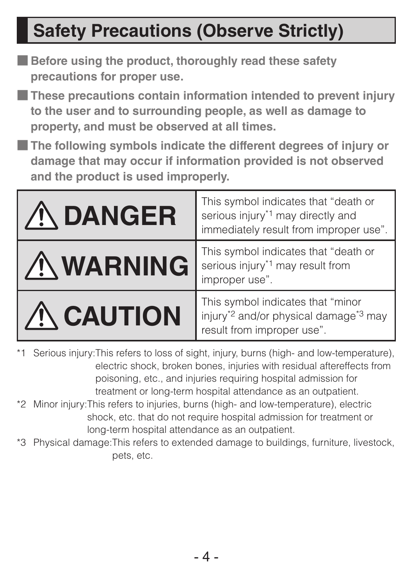# **Safety Precautions (Observe Strictly)**

- **Before using the product, thoroughly read these safety precautions for proper use.**
- **These precautions contain information intended to prevent injury to the user and to surrounding people, as well as damage to property, and must be observed at all times.**
- **The following symbols indicate the different degrees of injury or damage that may occur if information provided is not observed and the product is used improperly.**

| <b>ANGER</b>     | This symbol indicates that "death or<br>serious injury <sup>*1</sup> may directly and<br>immediately result from improper use".  |
|------------------|----------------------------------------------------------------------------------------------------------------------------------|
| <b>AWARNING</b>  | This symbol indicates that "death or<br>serious injury <sup>*1</sup> may result from<br>improper use".                           |
| <b>ANCAUTION</b> | This symbol indicates that "minor<br>injury <sup>*2</sup> and/or physical damage <sup>*3</sup> may<br>result from improper use". |

- \*1 Serious injury: This refers to loss of sight, injury, burns (high- and low-temperature), electric shock, broken bones, injuries with residual aftereffects from poisoning, etc., and injuries requiring hospital admission for treatment or long-term hospital attendance as an outpatient.
- \*2 Minor injury: This refers to injuries, burns (high- and low-temperature), electric shock, etc. that do not require hospital admission for treatment or long-term hospital attendance as an outpatient.
- \*3 Physical damage: This refers to extended damage to buildings, furniture, livestock, pets, etc.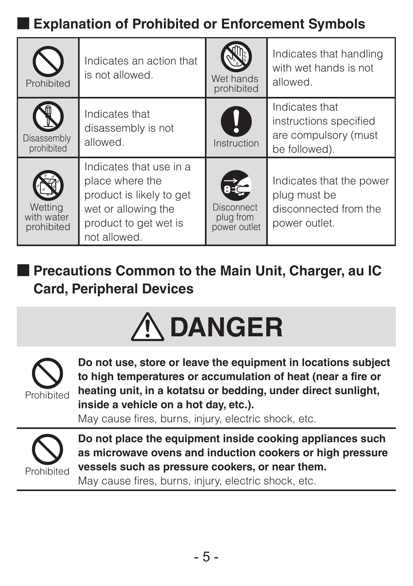### ■ **Explanation of Prohibited or Enforcement Symbols**

| Prohibited                          | Indicates an action that<br>is not allowed.                                                                                            | Wet hands<br>prohibited                        | Indicates that handling<br>with wet hands is not<br>allowed.                       |
|-------------------------------------|----------------------------------------------------------------------------------------------------------------------------------------|------------------------------------------------|------------------------------------------------------------------------------------|
| Disassembly<br>prohibited           | Indicates that<br>disassembly is not<br>allowed.                                                                                       | y<br>Instruction                               | Indicates that<br>instructions specified<br>are compulsory (must<br>be followed).  |
| Wettina<br>with water<br>prohibited | Indicates that use in a<br>place where the<br>product is likely to get<br>wet or allowing the<br>product to get wet is<br>not allowed. | RZ-<br>Disconnect<br>plug from<br>power outlet | Indicates that the power<br>plug must be<br>disconnected from the<br>power outlet. |

■ **Precautions Common to the Main Unit, Charger, au IC Card, Peripheral Devices**





**Do not use, store or leave the equipment in locations subject to high temperatures or accumulation of heat (near a fire or heating unit, in a kotatsu or bedding, under direct sunlight, inside a vehicle on a hot day, etc.).**

May cause fires, burns, injury, electric shock, etc.



**Do not place the equipment inside cooking appliances such as microwave ovens and induction cookers or high pressure vessels such as pressure cookers, or near them.** May cause fires, burns, injury, electric shock, etc.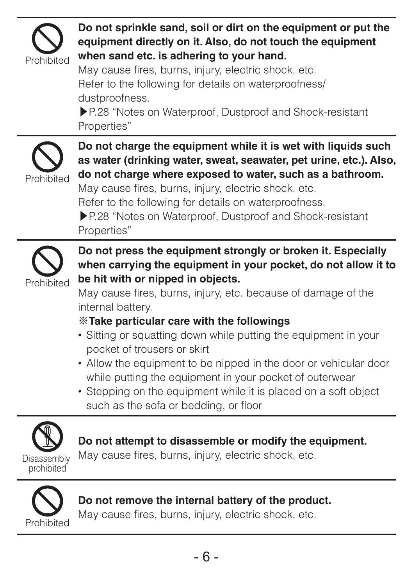

### **Do not sprinkle sand, soil or dirt on the equipment or put the equipment directly on it. Also, do not touch the equipment when sand etc. is adhering to your hand.**

May cause fires, burns, injury, electric shock, etc. Refer to the following for details on waterproofness/ dustproofness.

▶P. 28 "Notes on Waterproof, Dustproof and Shock-resistant Properties"



**Do not charge the equipment while it is wet with liquids such as water (drinking water, sweat, seawater, pet urine, etc.). Also, do not charge where exposed to water, such as a bathroom.** May cause fires, burns, injury, electric shock, etc. Refer to the following for details on waterproofness. ▶P. 28 "Notes on Waterproof, Dustproof and Shock-resistant Properties"



**Do not press the equipment strongly or broken it. Especially when carrying the equipment in your pocket, do not allow it to be hit with or nipped in objects.**

May cause fires, burns, injury, etc. because of damage of the internal battery.

#### ※**Take particular care with the followings**

- Sitting or squatting down while putting the equipment in your pocket of trousers or skirt
- Allow the equipment to be nipped in the door or vehicular door while putting the equipment in your pocket of outerwear
- Stepping on the equipment while it is placed on a soft object such as the sofa or bedding, or floor



#### **Do not attempt to disassemble or modify the equipment.**

May cause fires, burns, injury, electric shock, etc.



### **Do not remove the internal battery of the product.**

May cause fires, burns, injury, electric shock, etc.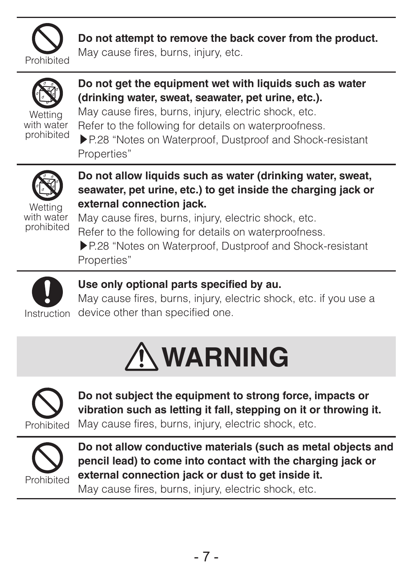

**Do not attempt to remove the back cover from the product.**

May cause fires, burns, injury, etc.



**Do not get the equipment wet with liquids such as water (drinking water, sweat, seawater, pet urine, etc.).** May cause fires, burns, injury, electric shock, etc. Refer to the following for details on waterproofness. ▶P. 28 "Notes on Waterproof, Dustproof and Shock-resistant Properties"



prohibited

**Do not allow liquids such as water (drinking water, sweat, seawater, pet urine, etc.) to get inside the charging jack or external connection jack.**

Wetting with water prohibited

May cause fires, burns, injury, electric shock, etc. Refer to the following for details on waterproofness. ▶P. 28 "Notes on Waterproof, Dustproof and Shock-resistant Properties"



### **Use only optional parts specified by au.**

May cause fires, burns, injury, electric shock, etc. if you use a device other than specified one.





**Do not subject the equipment to strong force, impacts or vibration such as letting it fall, stepping on it or throwing it.** May cause fires, burns, injury, electric shock, etc.



**Do not allow conductive materials (such as metal objects and pencil lead) to come into contact with the charging jack or external connection jack or dust to get inside it.**

May cause fires, burns, injury, electric shock, etc.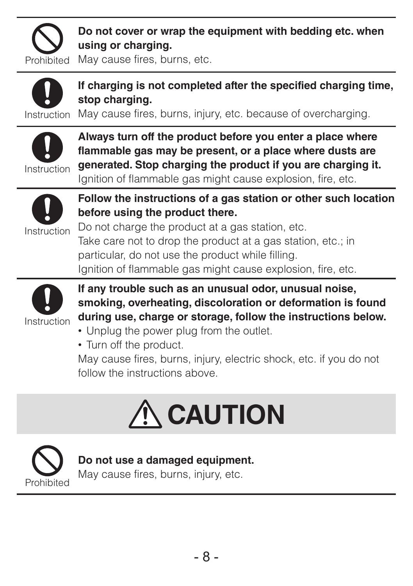

**Do not cover or wrap the equipment with bedding etc. when using or charging.**

Prohibited May cause fires, burns, etc.



**If charging is not completed after the specified charging time, stop charging.**

Instruction May cause fires, burns, injury, etc. because of overcharging.



**Always turn off the product before you enter a place where flammable gas may be present, or a place where dusts are generated. Stop charging the product if you are charging it.**

Ignition of flammable gas might cause explosion, fire, etc.



**Follow the instructions of a gas station or other such location before using the product there.**

Do not charge the product at a gas station, etc. Take care not to drop the product at a gas station, etc.; in particular, do not use the product while filling. Ignition of flammable gas might cause explosion, fire, etc.



**If any trouble such as an unusual odor, unusual noise, smoking, overheating, discoloration or deformation is found during use, charge or storage, follow the instructions below.**

- Unplug the power plug from the outlet.
- Turn off the product.

May cause fires, burns, injury, electric shock, etc. if you do not follow the instructions above.





#### **Do not use a damaged equipment.**

May cause fires, burns, injury, etc.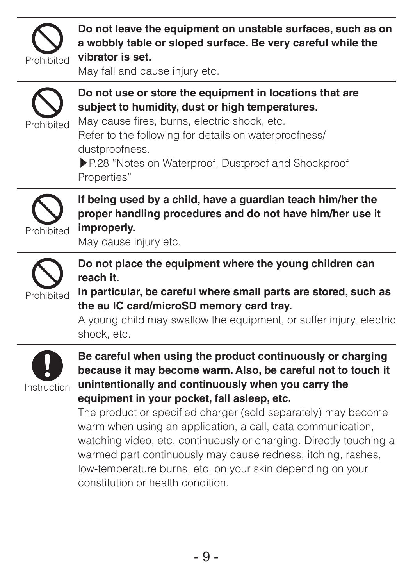

**Do not leave the equipment on unstable surfaces, such as on a wobbly table or sloped surface. Be very careful while the vibrator is set.**

May fall and cause injury etc.



**Do not use or store the equipment in locations that are subject to humidity, dust or high temperatures.**

May cause fires, burns, electric shock, etc. Refer to the following for details on waterproofness/ dustproofness.

▶P. 28 "Notes on Waterproof, Dustproof and Shockproof Properties"



**If being used by a child, have a guardian teach him/her the proper handling procedures and do not have him/her use it improperly.**

May cause injury etc.



**Do not place the equipment where the young children can reach it.**

**In particular, be careful where small parts are stored, such as the au IC card/microSD memory card tray.**

A young child may swallow the equipment, or suffer injury, electric shock, etc.



**Be careful when using the product continuously or charging because it may become warm. Also, be careful not to touch it unintentionally and continuously when you carry the equipment in your pocket, fall asleep, etc.**

The product or specified charger (sold separately) may become warm when using an application, a call, data communication, watching video, etc. continuously or charging. Directly touching a warmed part continuously may cause redness, itching, rashes, low-temperature burns, etc. on your skin depending on your constitution or health condition.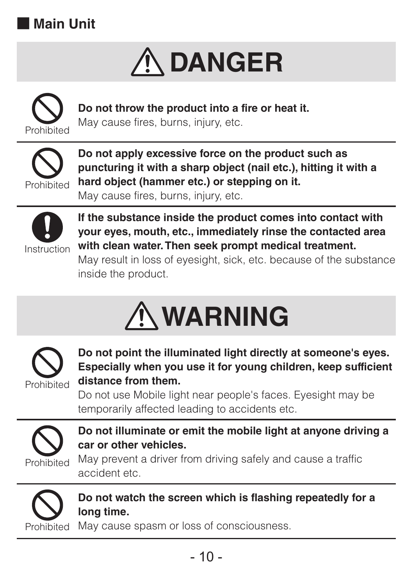





**Do not throw the product into a fire or heat it.** May cause fires, burns, injury, etc.



**Do not apply excessive force on the product such as puncturing it with a sharp object (nail etc.), hitting it with a hard object (hammer etc.) or stepping on it.** May cause fires, burns, injury, etc.



**If the substance inside the product comes into contact with your eyes, mouth, etc., immediately rinse the contacted area with clean water. Then seek prompt medical treatment.**

May result in loss of eyesight, sick, etc. because of the substance inside the product.





**Do not point the illuminated light directly at someone's eyes. Especially when you use it for young children, keep sufficient distance from them.**

Do not use Mobile light near people's faces. Eyesight may be temporarily affected leading to accidents etc.



**Do not illuminate or emit the mobile light at anyone driving a car or other vehicles.**

May prevent a driver from driving safely and cause a traffic accident etc.



**Do not watch the screen which is flashing repeatedly for a long time.**

May cause spasm or loss of consciousness.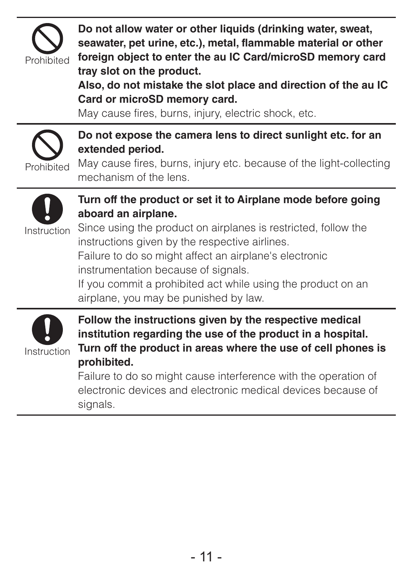

**Do not allow water or other liquids (drinking water, sweat,** 

**seawater, pet urine, etc.), metal, flammable material or other foreign object to enter the au IC Card/microSD memory card tray slot on the product.**

**Also, do not mistake the slot place and direction of the au IC Card or microSD memory card.**

May cause fires, burns, injury, electric shock, etc.



**Do not expose the camera lens to direct sunlight etc. for an extended period.**

May cause fires, burns, injury etc. because of the light-collecting mechanism of the lens.



#### **Turn off the product or set it to Airplane mode before going aboard an airplane.**

Instruction

Since using the product on airplanes is restricted, follow the instructions given by the respective airlines.

Failure to do so might affect an airplane's electronic instrumentation because of signals.

If you commit a prohibited act while using the product on an airplane, you may be punished by law.



**Follow the instructions given by the respective medical institution regarding the use of the product in a hospital. Turn off the product in areas where the use of cell phones is prohibited.**

Failure to do so might cause interference with the operation of electronic devices and electronic medical devices because of signals.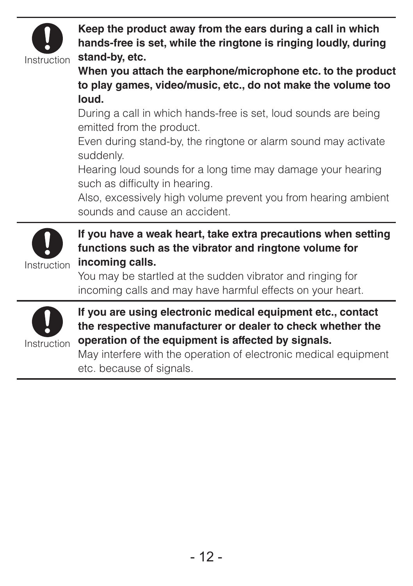

**Keep the product away from the ears during a call in which hands-free is set, while the ringtone is ringing loudly, during stand-by, etc.**

**When you attach the earphone/microphone etc. to the product to play games, video/music, etc., do not make the volume too loud.** 

During a call in which hands-free is set, loud sounds are being emitted from the product.

Even during stand-by, the ringtone or alarm sound may activate suddenly.

Hearing loud sounds for a long time may damage your hearing such as difficulty in hearing.

Also, excessively high volume prevent you from hearing ambient sounds and cause an accident.



**If you have a weak heart, take extra precautions when setting functions such as the vibrator and ringtone volume for incoming calls.**

You may be startled at the sudden vibrator and ringing for incoming calls and may have harmful effects on your heart.



**If you are using electronic medical equipment etc., contact the respective manufacturer or dealer to check whether the operation of the equipment is affected by signals.**

May interfere with the operation of electronic medical equipment etc. because of signals.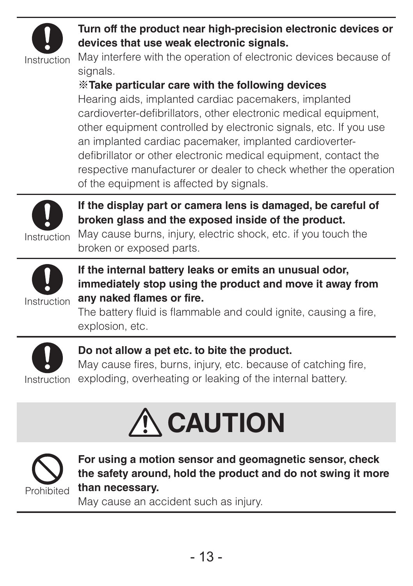

#### **Turn off the product near high-precision electronic devices or devices that use weak electronic signals.**

May interfere with the operation of electronic devices because of signals.

#### ※**Take particular care with the following devices**

Hearing aids, implanted cardiac pacemakers, implanted cardioverter-defibrillators, other electronic medical equipment, other equipment controlled by electronic signals, etc. If you use an implanted cardiac pacemaker, implanted cardioverterdefibrillator or other electronic medical equipment, contact the respective manufacturer or dealer to check whether the operation of the equipment is affected by signals.



**If the display part or camera lens is damaged, be careful of broken glass and the exposed inside of the product.** May cause burns, injury, electric shock, etc. if you touch the

broken or exposed parts.



**If the internal battery leaks or emits an unusual odor, immediately stop using the product and move it away from any naked flames or fire.**

The battery fluid is flammable and could ignite, causing a fire, explosion, etc.



**Do not allow a pet etc. to bite the product.**

May cause fires, burns, injury, etc. because of catching fire,

Instruction exploding, overheating or leaking of the internal battery.





**For using a motion sensor and geomagnetic sensor, check the safety around, hold the product and do not swing it more than necessary.**

May cause an accident such as injury.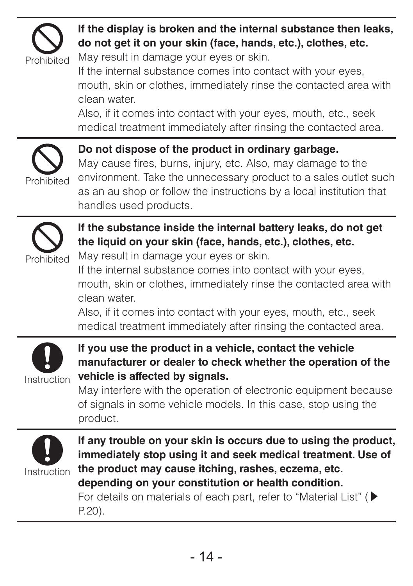

### **If the display is broken and the internal substance then leaks, do not get it on your skin (face, hands, etc.), clothes, etc.**

May result in damage your eyes or skin.

If the internal substance comes into contact with your eyes, mouth, skin or clothes, immediately rinse the contacted area with clean water.

Also, if it comes into contact with your eyes, mouth, etc., seek medical treatment immediately after rinsing the contacted area.



**Do not dispose of the product in ordinary garbage.**

May cause fires, burns, injury, etc. Also, may damage to the environment. Take the unnecessary product to a sales outlet such as an au shop or follow the instructions by a local institution that handles used products.



**If the substance inside the internal battery leaks, do not get the liquid on your skin (face, hands, etc.), clothes, etc.**

May result in damage your eyes or skin.

If the internal substance comes into contact with your eyes, mouth, skin or clothes, immediately rinse the contacted area with clean water.

Also, if it comes into contact with your eyes, mouth, etc., seek medical treatment immediately after rinsing the contacted area.



**If you use the product in a vehicle, contact the vehicle manufacturer or dealer to check whether the operation of the vehicle is affected by signals.**

May interfere with the operation of electronic equipment because of signals in some vehicle models. In this case, stop using the product.



**If any trouble on your skin is occurs due to using the product, immediately stop using it and seek medical treatment. Use of the product may cause itching, rashes, eczema, etc. depending on your constitution or health condition.** For details on materials of each part, refer to "Material List" (▶ P. 20).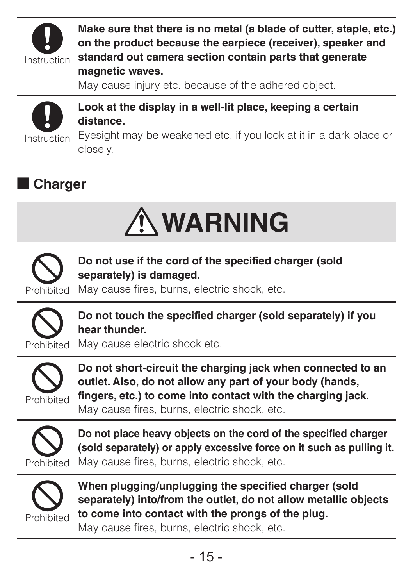

**Make sure that there is no metal (a blade of cutter, staple, etc.) on the product because the earpiece (receiver), speaker and standard out camera section contain parts that generate** 

#### **magnetic waves.**

May cause injury etc. because of the adhered object.



**Look at the display in a well-lit place, keeping a certain distance.**

Eyesight may be weakened etc. if you look at it in a dark place or closely.

### ■ **Charger**





**Do not use if the cord of the specified charger (sold separately) is damaged.**

May cause fires, burns, electric shock, etc.



**Do not touch the specified charger (sold separately) if you hear thunder.**

May cause electric shock etc.



**Do not short-circuit the charging jack when connected to an outlet. Also, do not allow any part of your body (hands, fingers, etc.) to come into contact with the charging jack.** May cause fires, burns, electric shock, etc.



**Do not place heavy objects on the cord of the specified charger (sold separately) or apply excessive force on it such as pulling it.** May cause fires, burns, electric shock, etc.



**When plugging/unplugging the specified charger (sold separately) into/from the outlet, do not allow metallic objects to come into contact with the prongs of the plug.**

May cause fires, burns, electric shock, etc.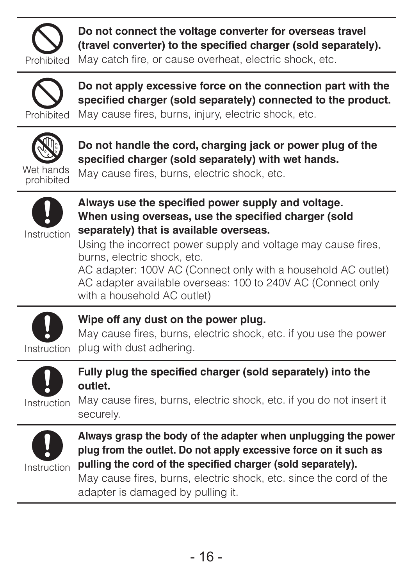

**Do not connect the voltage converter for overseas travel (travel converter) to the specified charger (sold separately).**

May catch fire, or cause overheat, electric shock, etc.



**Do not apply excessive force on the connection part with the specified charger (sold separately) connected to the product.** May cause fires, burns, injury, electric shock, etc.



**Do not handle the cord, charging jack or power plug of the specified charger (sold separately) with wet hands.**

Wet hands prohibited May cause fires, burns, electric shock, etc.



**Always use the specified power supply and voltage. When using overseas, use the specified charger (sold separately) that is available overseas.**

Using the incorrect power supply and voltage may cause fires. burns, electric shock, etc.

AC adapter: 100V AC (Connect only with a household AC outlet) AC adapter available overseas: 100 to 240V AC (Connect only with a household AC outlet)



#### **Wipe off any dust on the power plug.**

Instruction plug with dust adhering. May cause fires, burns, electric shock, etc. if you use the power



#### **Fully plug the specified charger (sold separately) into the outlet.**

May cause fires, burns, electric shock, etc. if you do not insert it securely.



**Always grasp the body of the adapter when unplugging the power plug from the outlet. Do not apply excessive force on it such as pulling the cord of the specified charger (sold separately).**

May cause fires, burns, electric shock, etc. since the cord of the adapter is damaged by pulling it.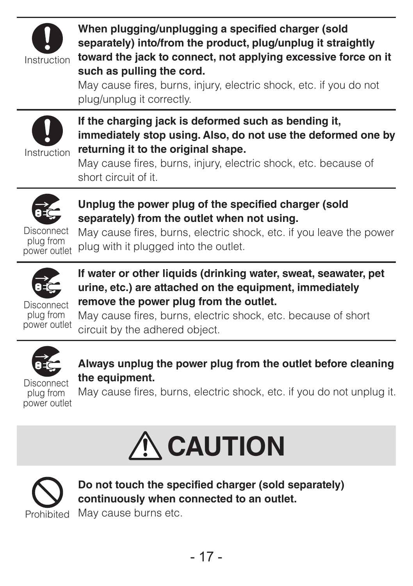

**When plugging/unplugging a specified charger (sold separately) into/from the product, plug/unplug it straightly toward the jack to connect, not applying excessive force on it such as pulling the cord.**

May cause fires, burns, injury, electric shock, etc. if you do not plug/unplug it correctly.



**If the charging jack is deformed such as bending it, immediately stop using. Also, do not use the deformed one by returning it to the original shape.**

May cause fires, burns, injury, electric shock, etc. because of short circuit of it.



**Unplug the power plug of the specified charger (sold separately) from the outlet when not using.**

plug from

plug from plug with it plugged into the outlet. May cause fires, burns, electric shock, etc. if you leave the power



**If water or other liquids (drinking water, sweat, seawater, pet urine, etc.) are attached on the equipment, immediately remove the power plug from the outlet.**

Disconnect plug from power outlet May cause fires, burns, electric shock, etc. because of short circuit by the adhered object.



**Always unplug the power plug from the outlet before cleaning the equipment.**

Disconnect plug from power outlet May cause fires, burns, electric shock, etc. if you do not unplug it.





**Do not touch the specified charger (sold separately) continuously when connected to an outlet.**

Prohibited May cause burns etc.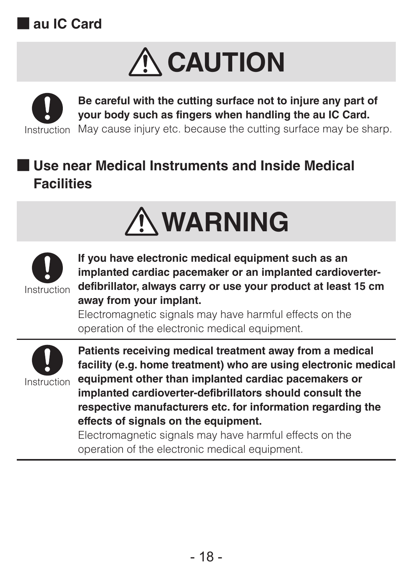





**Be careful with the cutting surface not to injure any part of your body such as fingers when handling the au IC Card.**

Instruction May cause injury etc. because the cutting surface may be sharp.

### ■ **Use near Medical Instruments and Inside Medical Facilities**





**If you have electronic medical equipment such as an implanted cardiac pacemaker or an implanted cardioverterdefibrillator, always carry or use your product at least 15 cm away from your implant.**

Electromagnetic signals may have harmful effects on the operation of the electronic medical equipment.



**Patients receiving medical treatment away from a medical facility (e.g. home treatment) who are using electronic medical equipment other than implanted cardiac pacemakers or implanted cardioverter-defibrillators should consult the respective manufacturers etc. for information regarding the effects of signals on the equipment.**

Electromagnetic signals may have harmful effects on the operation of the electronic medical equipment.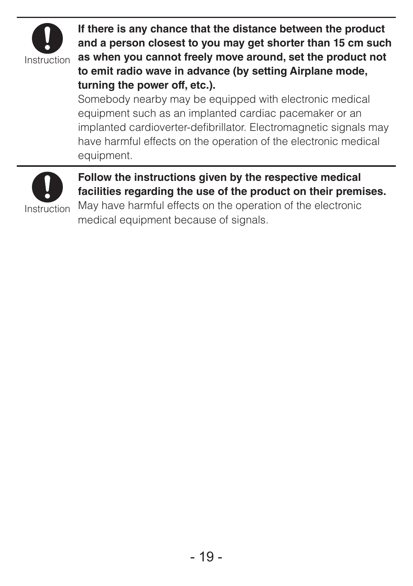

**If there is any chance that the distance between the product and a person closest to you may get shorter than 15 cm such as when you cannot freely move around, set the product not to emit radio wave in advance (by setting Airplane mode, turning the power off, etc.).**

Somebody nearby may be equipped with electronic medical equipment such as an implanted cardiac pacemaker or an implanted cardioverter-defibrillator. Electromagnetic signals may have harmful effects on the operation of the electronic medical equipment.



#### **Follow the instructions given by the respective medical facilities regarding the use of the product on their premises.**

May have harmful effects on the operation of the electronic medical equipment because of signals.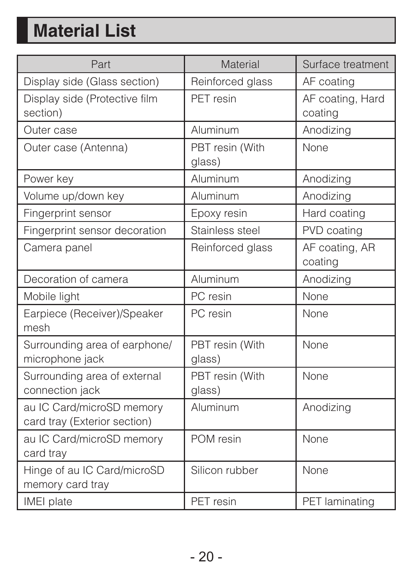# **Material List**

| Part                                                      | Material                  | Surface treatment           |
|-----------------------------------------------------------|---------------------------|-----------------------------|
| Display side (Glass section)                              | Reinforced glass          | AF coating                  |
| Display side (Protective film<br>section)                 | PFT resin                 | AF coating, Hard<br>coating |
| Outer case                                                | Aluminum                  | Anodizing                   |
| Outer case (Antenna)                                      | PBT resin (With<br>glass) | None                        |
| Power key                                                 | Aluminum                  | Anodizing                   |
| Volume up/down key                                        | Aluminum                  | Anodizing                   |
| Fingerprint sensor                                        | Epoxy resin               | Hard coating                |
| Fingerprint sensor decoration                             | Stainless steel           | PVD coating                 |
| Camera panel                                              | Reinforced glass          | AF coating, AR<br>coating   |
| Decoration of camera                                      | Aluminum                  | Anodizing                   |
| Mobile light                                              | PC resin                  | None                        |
| Earpiece (Receiver)/Speaker<br>mesh                       | PC resin                  | None                        |
| Surrounding area of earphone/<br>microphone jack          | PBT resin (With<br>glass) | None                        |
| Surrounding area of external<br>connection jack           | PBT resin (With<br>glass) | None                        |
| au IC Card/microSD memory<br>card tray (Exterior section) | Aluminum                  | Anodizing                   |
| au IC Card/microSD memory<br>card tray                    | POM resin                 | None                        |
| Hinge of au IC Card/microSD<br>memory card tray           | Silicon rubber            | None                        |
| IMEI plate                                                | PFT resin                 | PET laminating              |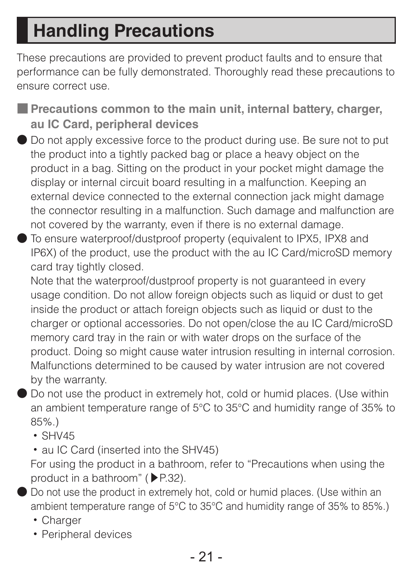# **Handling Precautions**

These precautions are provided to prevent product faults and to ensure that performance can be fully demonstrated. Thoroughly read these precautions to ensure correct use.

- **Precautions common to the main unit, internal battery, charger, au IC Card, peripheral devices**
- Do not apply excessive force to the product during use. Be sure not to put the product into a tightly packed bag or place a heavy object on the product in a bag. Sitting on the product in your pocket might damage the display or internal circuit board resulting in a malfunction. Keeping an external device connected to the external connection jack might damage the connector resulting in a malfunction. Such damage and malfunction are not covered by the warranty, even if there is no external damage.
- To ensure waterproof/dustproof property (equivalent to IPX5, IPX8 and IP6X) of the product, use the product with the au IC Card/microSD memory card tray tightly closed.

Note that the waterproof/dustproof property is not quaranteed in every usage condition. Do not allow foreign objects such as liquid or dust to get inside the product or attach foreign objects such as liquid or dust to the charger or optional accessories. Do not open/close the au IC Card/microSD memory card tray in the rain or with water drops on the surface of the product. Doing so might cause water intrusion resulting in internal corrosion. Malfunctions determined to be caused by water intrusion are not covered by the warranty.

● Do not use the product in extremely hot, cold or humid places. (Use within an ambient temperature range of 5°C to 35°C and humidity range of 35% to 85%.)

- SHV45
- au IC Card (inserted into the SHV45)

For using the product in a bathroom, refer to "Precautions when using the product in a bathroom" (▶P.32).

● Do not use the product in extremely hot, cold or humid places. (Use within an ambient temperature range of 5°C to 35°C and humidity range of 35% to 85%.)

- Charger
- Peripheral devices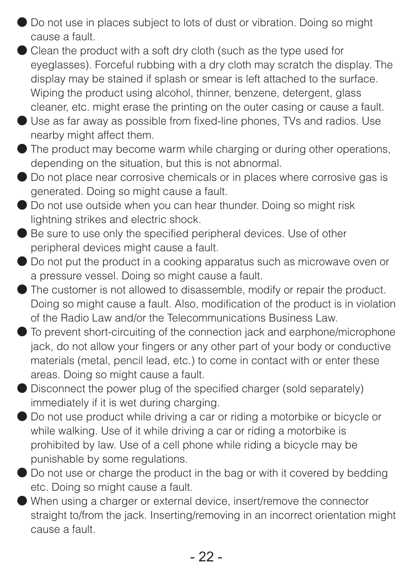- Do not use in places subject to lots of dust or vibration. Doing so might cause a fault.
- Clean the product with a soft dry cloth (such as the type used for eveglasses). Forceful rubbing with a dry cloth may scratch the display. The display may be stained if splash or smear is left attached to the surface. Wiping the product using alcohol, thinner, benzene, detergent, glass cleaner, etc. might erase the printing on the outer casing or cause a fault.
- Use as far away as possible from fixed-line phones, TVs and radios. Use nearby might affect them.
- The product may become warm while charging or during other operations, depending on the situation, but this is not abnormal.
- Do not place near corrosive chemicals or in places where corrosive gas is generated. Doing so might cause a fault.
- Do not use outside when you can hear thunder. Doing so might risk lightning strikes and electric shock.
- Be sure to use only the specified peripheral devices. Use of other peripheral devices might cause a fault.
- Do not put the product in a cooking apparatus such as microwave oven or a pressure vessel. Doing so might cause a fault.
- The customer is not allowed to disassemble, modify or repair the product. Doing so might cause a fault. Also, modification of the product is in violation of the Radio Law and/or the Telecommunications Business Law.
- To prevent short-circuiting of the connection jack and earphone/microphone jack, do not allow your fingers or any other part of your body or conductive materials (metal, pencil lead, etc.) to come in contact with or enter these areas. Doing so might cause a fault.
- Disconnect the power plug of the specified charger (sold separately) immediately if it is wet during charging.
- Do not use product while driving a car or riding a motorbike or bicycle or while walking. Use of it while driving a car or riding a motorbike is prohibited by law. Use of a cell phone while riding a bicycle may be punishable by some regulations.
- Do not use or charge the product in the bag or with it covered by bedding etc. Doing so might cause a fault.
- When using a charger or external device, insert/remove the connector straight to/from the jack. Inserting/removing in an incorrect orientation might cause a fault.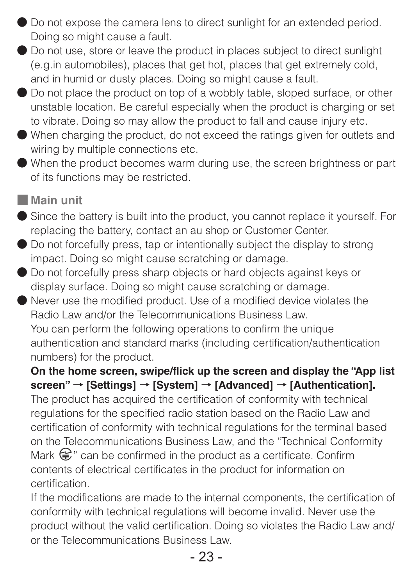- Do not expose the camera lens to direct sunlight for an extended period. Doing so might cause a fault.
- Do not use, store or leave the product in places subject to direct sunlight (e.g.in automobiles), places that get hot, places that get extremely cold, and in humid or dusty places. Doing so might cause a fault.
- Do not place the product on top of a wobbly table, sloped surface, or other unstable location. Be careful especially when the product is charging or set to vibrate. Doing so may allow the product to fall and cause injury etc.
- When charging the product, do not exceed the ratings given for outlets and wiring by multiple connections etc.
- When the product becomes warm during use, the screen brightness or part of its functions may be restricted.
- **Main unit**
- Since the battery is built into the product, you cannot replace it yourself. For replacing the battery, contact an au shop or Customer Center.
- Do not forcefully press, tap or intentionally subject the display to strong impact. Doing so might cause scratching or damage.
- Do not forcefully press sharp objects or hard objects against keys or display surface. Doing so might cause scratching or damage.
- Never use the modified product. Use of a modified device violates the Radio Law and/or the Telecommunications Business Law. You can perform the following operations to confirm the unique authentication and standard marks (including certification/authentication numbers) for the product.

**On the home screen, swipe/flick up the screen and display the "App list screen"** → **[Settings]** → **[System]** → **[Advanced]** → **[Authentication].** 

The product has acquired the certification of conformity with technical regulations for the specified radio station based on the Radio Law and certification of conformity with technical regulations for the terminal based on the Telecommunications Business Law, and the "Technical Conformity Mark  $\circledR$ " can be confirmed in the product as a certificate. Confirm contents of electrical certificates in the product for information on certification.

If the modifications are made to the internal components, the certification of conformity with technical regulations will become invalid. Never use the product without the valid certification. Doing so violates the Radio Law and/ or the Telecommunications Business Law.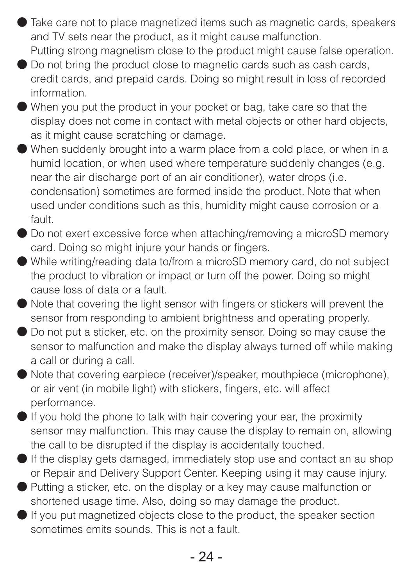- Take care not to place magnetized items such as magnetic cards, speakers and TV sets near the product, as it might cause malfunction. Putting strong magnetism close to the product might cause false operation.
- Do not bring the product close to magnetic cards such as cash cards. credit cards, and prepaid cards. Doing so might result in loss of recorded information.
- When you put the product in your pocket or bag, take care so that the display does not come in contact with metal objects or other hard objects, as it might cause scratching or damage.
- When suddenly brought into a warm place from a cold place, or when in a humid location, or when used where temperature suddenly changes (e.g. near the air discharge port of an air conditioner), water drops (i.e. condensation) sometimes are formed inside the product. Note that when used under conditions such as this, humidity might cause corrosion or a fault.
- Do not exert excessive force when attaching/removing a microSD memory card. Doing so might injure your hands or fingers.
- While writing/reading data to/from a microSD memory card, do not subject the product to vibration or impact or turn off the power. Doing so might cause loss of data or a fault.
- Note that covering the light sensor with fingers or stickers will prevent the sensor from responding to ambient brightness and operating properly.
- Do not put a sticker, etc. on the proximity sensor. Doing so may cause the sensor to malfunction and make the display always turned off while making a call or during a call.
- Note that covering earpiece (receiver)/speaker, mouthpiece (microphone), or air vent (in mobile light) with stickers, fingers, etc. will affect performance.
- If you hold the phone to talk with hair covering your ear, the proximity sensor may malfunction. This may cause the display to remain on, allowing the call to be disrupted if the display is accidentally touched.
- If the display gets damaged, immediately stop use and contact an au shop or Repair and Delivery Support Center. Keeping using it may cause injury.
- Putting a sticker, etc. on the display or a key may cause malfunction or shortened usage time. Also, doing so may damage the product.
- If you put magnetized objects close to the product, the speaker section sometimes emits sounds. This is not a fault.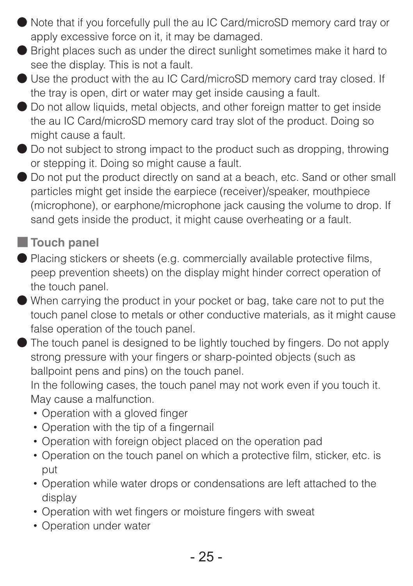- Note that if you forcefully pull the au IC Card/microSD memory card tray or apply excessive force on it, it may be damaged.
- Bright places such as under the direct sunlight sometimes make it hard to see the display. This is not a fault.
- Use the product with the au IC Card/microSD memory card tray closed. If the tray is open, dirt or water may get inside causing a fault.
- Do not allow liquids, metal objects, and other foreign matter to get inside the au IC Card/microSD memory card tray slot of the product. Doing so might cause a fault.
- Do not subject to strong impact to the product such as dropping, throwing or stepping it. Doing so might cause a fault.
- Do not put the product directly on sand at a beach, etc. Sand or other small particles might get inside the earpiece (receiver)/speaker, mouthpiece (microphone), or earphone/microphone jack causing the volume to drop. If sand gets inside the product, it might cause overheating or a fault.

### ■ **Touch panel**

- Placing stickers or sheets (e.g. commercially available protective films, peep prevention sheets) on the display might hinder correct operation of the touch panel.
- When carrying the product in your pocket or bag, take care not to put the touch panel close to metals or other conductive materials, as it might cause false operation of the touch panel.
- The touch panel is designed to be lightly touched by fingers. Do not apply strong pressure with your fingers or sharp-pointed objects (such as ballpoint pens and pins) on the touch panel.

In the following cases, the touch panel may not work even if you touch it. May cause a malfunction.

- Operation with a gloved finger
- Operation with the tip of a fingernail
- Operation with foreign object placed on the operation pad
- Operation on the touch panel on which a protective film, sticker, etc. is put
- Operation while water drops or condensations are left attached to the display
- Operation with wet fingers or moisture fingers with sweat
- Operation under water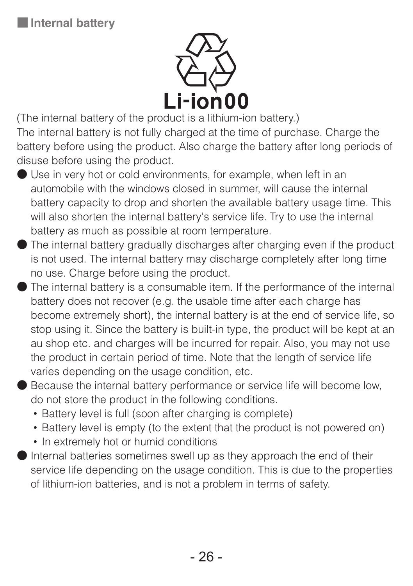

(The internal battery of the product is a lithium-ion battery.) The internal battery is not fully charged at the time of purchase. Charge the battery before using the product. Also charge the battery after long periods of disuse before using the product.

- Use in very hot or cold environments, for example, when left in an automobile with the windows closed in summer, will cause the internal battery capacity to drop and shorten the available battery usage time. This will also shorten the internal battery's service life. Try to use the internal battery as much as possible at room temperature.
- The internal battery gradually discharges after charging even if the product is not used. The internal battery may discharge completely after long time no use. Charge before using the product.
- The internal battery is a consumable item. If the performance of the internal battery does not recover (e.g. the usable time after each charge has become extremely short), the internal battery is at the end of service life, so stop using it. Since the battery is built-in type, the product will be kept at an au shop etc. and charges will be incurred for repair. Also, you may not use the product in certain period of time. Note that the length of service life varies depending on the usage condition, etc.
- Because the internal battery performance or service life will become low. do not store the product in the following conditions.
	- Battery level is full (soon after charging is complete)
	- Battery level is empty (to the extent that the product is not powered on)
	- In extremely hot or humid conditions
- Internal batteries sometimes swell up as they approach the end of their service life depending on the usage condition. This is due to the properties of lithium-ion batteries, and is not a problem in terms of safety.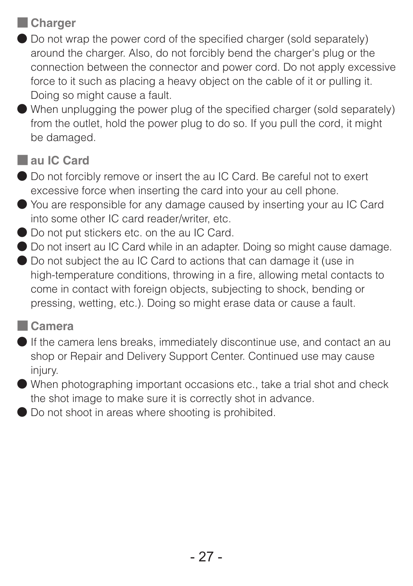### ■ **Charger**

- Do not wrap the power cord of the specified charger (sold separately) around the charger. Also, do not forcibly bend the charger's plug or the connection between the connector and power cord. Do not apply excessive force to it such as placing a heavy object on the cable of it or pulling it. Doing so might cause a fault.
- When unplugging the power plug of the specified charger (sold separately) from the outlet, hold the power plug to do so. If you pull the cord, it might be damaged.

#### ■ **au IC Card**

- Do not forcibly remove or insert the au IC Card. Be careful not to exert excessive force when inserting the card into your au cell phone.
- You are responsible for any damage caused by inserting your au IC Card into some other IC card reader/writer, etc.
- Do not put stickers etc. on the au IC Card.
- Do not insert au IC Card while in an adapter. Doing so might cause damage.
- Do not subject the au IC Card to actions that can damage it (use in high-temperature conditions, throwing in a fire, allowing metal contacts to come in contact with foreign objects, subjecting to shock, bending or pressing, wetting, etc.). Doing so might erase data or cause a fault.

#### ■ **Camera**

- If the camera lens breaks, immediately discontinue use, and contact an au shop or Repair and Delivery Support Center. Continued use may cause injury.
- When photographing important occasions etc., take a trial shot and check the shot image to make sure it is correctly shot in advance.
- Do not shoot in areas where shooting is prohibited.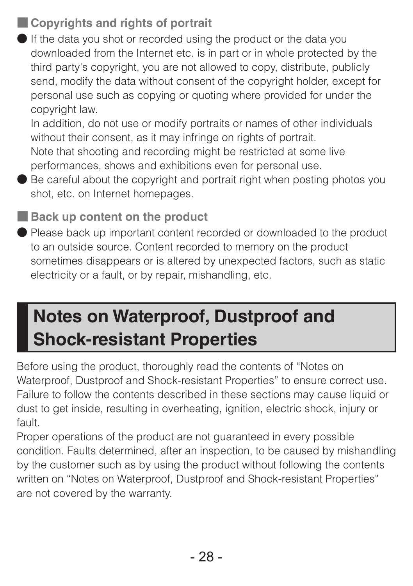### ■ **Copyrights and rights of portrait**

● If the data you shot or recorded using the product or the data you downloaded from the Internet etc. is in part or in whole protected by the third party's copyright, you are not allowed to copy, distribute, publicly send, modify the data without consent of the copyright holder, except for personal use such as copying or quoting where provided for under the copyright law.

In addition, do not use or modify portraits or names of other individuals without their consent, as it may infringe on rights of portrait. Note that shooting and recording might be restricted at some live performances, shows and exhibitions even for personal use.

● Be careful about the copyright and portrait right when posting photos you shot, etc. on Internet homepages.

■ **Back up content on the product** 

● Please back up important content recorded or downloaded to the product to an outside source. Content recorded to memory on the product sometimes disappears or is altered by unexpected factors, such as static electricity or a fault, or by repair, mishandling, etc.

# **Notes on Waterproof, Dustproof and Shock-resistant Properties**

Before using the product, thoroughly read the contents of "Notes on Waterproof, Dustproof and Shock-resistant Properties" to ensure correct use. Failure to follow the contents described in these sections may cause liquid or dust to get inside, resulting in overheating, ignition, electric shock, injury or fault.

Proper operations of the product are not quaranteed in every possible condition. Faults determined, after an inspection, to be caused by mishandling by the customer such as by using the product without following the contents written on "Notes on Waterproof, Dustproof and Shock-resistant Properties" are not covered by the warranty.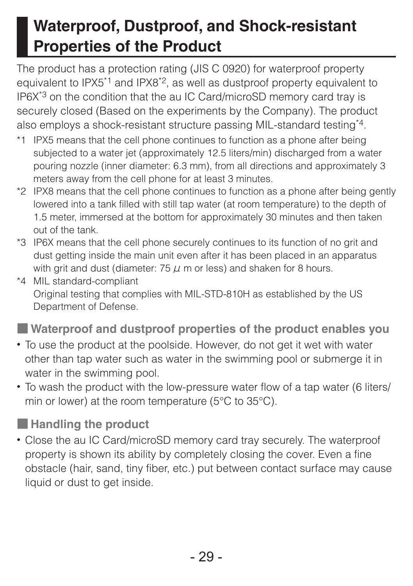# **Waterproof, Dustproof, and Shock-resistant Properties of the Product**

The product has a protection rating (JIS C 0920) for waterproof property equivalent to IPX5<sup>\*1</sup> and IPX8<sup>\*2</sup>, as well as dustproof property equivalent to IP6X\*3 on the condition that the au IC Card/microSD memory card tray is securely closed (Based on the experiments by the Company). The product also employs a shock-resistant structure passing MIL-standard testing\*4.

- \*1 IPX5 means that the cell phone continues to function as a phone after being subjected to a water jet (approximately 12.5 liters/min) discharged from a water pouring nozzle (inner diameter: 6.3 mm), from all directions and approximately 3 meters away from the cell phone for at least 3 minutes.
- \*2 IPX8 means that the cell phone continues to function as a phone after being gently lowered into a tank filled with still tap water (at room temperature) to the depth of 1.5 meter, immersed at the bottom for approximately 30 minutes and then taken out of the tank.
- \*3 IP6X means that the cell phone securely continues to its function of no grit and dust getting inside the main unit even after it has been placed in an apparatus with grit and dust (diameter: 75  $\mu$  m or less) and shaken for 8 hours.
- \*4 MIL standard-compliant Original testing that complies with MIL-STD-810H as established by the US Department of Defense.

■ Waterproof and dustproof properties of the product enables you

- To use the product at the poolside. However, do not get it wet with water other than tap water such as water in the swimming pool or submerge it in water in the swimming pool.
- To wash the product with the low-pressure water flow of a tap water (6 liters/ min or lower) at the room temperature (5°C to 35°C).

■ **Handling the product**

• Close the au IC Card/microSD memory card tray securely. The waterproof property is shown its ability by completely closing the cover. Even a fine obstacle (hair, sand, tiny fiber, etc.) put between contact surface may cause liquid or dust to get inside.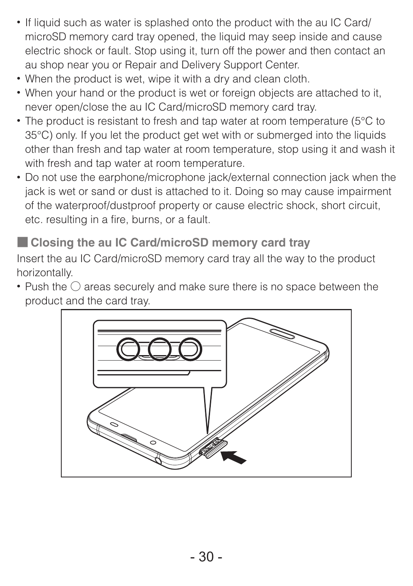- If liquid such as water is splashed onto the product with the au IC Card/ microSD memory card tray opened, the liquid may seep inside and cause electric shock or fault. Stop using it, turn off the power and then contact an au shop near you or Repair and Delivery Support Center.
- When the product is wet, wipe it with a dry and clean cloth.
- When your hand or the product is wet or foreign objects are attached to it, never open/close the au IC Card/microSD memory card tray.
- The product is resistant to fresh and tap water at room temperature (5°C to 35°C) only. If you let the product get wet with or submerged into the liquids other than fresh and tap water at room temperature, stop using it and wash it with fresh and tap water at room temperature.
- Do not use the earphone/microphone jack/external connection jack when the jack is wet or sand or dust is attached to it. Doing so may cause impairment of the waterproof/dustproof property or cause electric shock, short circuit, etc. resulting in a fire, burns, or a fault.

■ **Closing the au IC Card/microSD memory card tray** 

Insert the au IC Card/microSD memory card tray all the way to the product horizontally.

• Push the ○ areas securely and make sure there is no space between the product and the card tray.

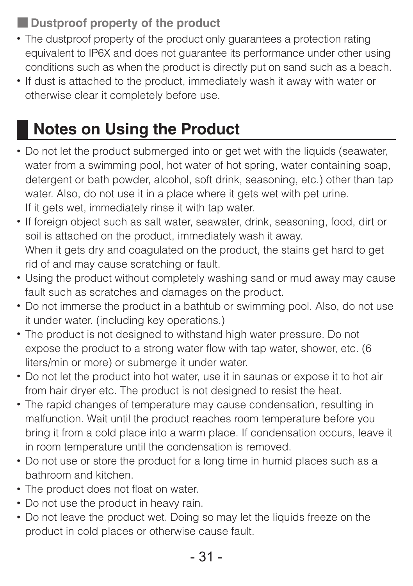■ **Dustproof property of the product** 

- The dustproof property of the product only guarantees a protection rating equivalent to IP6X and does not quarantee its performance under other using conditions such as when the product is directly put on sand such as a beach.
- If dust is attached to the product, immediately wash it away with water or otherwise clear it completely before use.

# **Notes on Using the Product**

- Do not let the product submerged into or get wet with the liquids (seawater, water from a swimming pool, hot water of hot spring, water containing soap, detergent or bath powder, alcohol, soft drink, seasoning, etc.) other than tap water. Also, do not use it in a place where it gets wet with pet urine. If it gets wet, immediately rinse it with tap water.
- If foreign object such as salt water, seawater, drink, seasoning, food, dirt or soil is attached on the product, immediately wash it away. When it gets dry and coagulated on the product, the stains get hard to get rid of and may cause scratching or fault.
- Using the product without completely washing sand or mud away may cause fault such as scratches and damages on the product.
- Do not immerse the product in a bathtub or swimming pool. Also, do not use it under water. (including key operations.)
- The product is not designed to withstand high water pressure. Do not expose the product to a strong water flow with tap water, shower, etc. (6 liters/min or more) or submerge it under water.
- Do not let the product into hot water, use it in saunas or expose it to hot air from hair dryer etc. The product is not designed to resist the heat.
- The rapid changes of temperature may cause condensation, resulting in malfunction. Wait until the product reaches room temperature before you bring it from a cold place into a warm place. If condensation occurs, leave it in room temperature until the condensation is removed.
- Do not use or store the product for a long time in humid places such as a bathroom and kitchen.
- The product does not float on water.
- Do not use the product in heavy rain.
- Do not leave the product wet. Doing so may let the liquids freeze on the product in cold places or otherwise cause fault.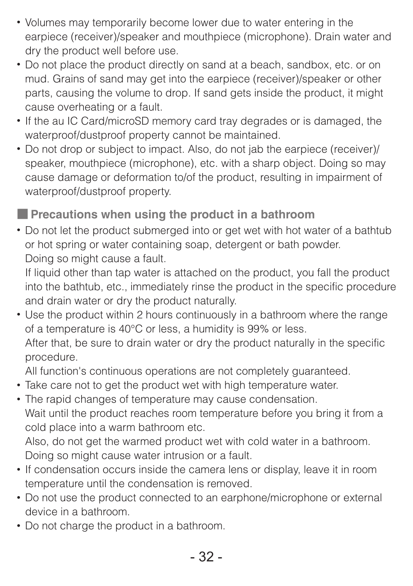- Volumes may temporarily become lower due to water entering in the earpiece (receiver)/speaker and mouthpiece (microphone). Drain water and dry the product well before use.
- Do not place the product directly on sand at a beach, sandbox, etc. or on mud. Grains of sand may get into the earpiece (receiver)/speaker or other parts, causing the volume to drop. If sand gets inside the product, it might cause overheating or a fault.
- If the au IC Card/microSD memory card tray degrades or is damaged, the waterproof/dustproof property cannot be maintained.
- Do not drop or subject to impact. Also, do not jab the earpiece (receiver)/ speaker, mouthpiece (microphone), etc. with a sharp object. Doing so may cause damage or deformation to/of the product, resulting in impairment of waterproof/dustproof property.

■ **Precautions when using the product in a bathroom** 

• Do not let the product submerged into or get wet with hot water of a bathtub or hot spring or water containing soap, detergent or bath powder. Doing so might cause a fault.

If liquid other than tap water is attached on the product, you fall the product into the bathtub, etc., immediately rinse the product in the specific procedure and drain water or dry the product naturally.

• Use the product within 2 hours continuously in a bathroom where the range of a temperature is 40°C or less, a humidity is 99% or less. After that, be sure to drain water or dry the product naturally in the specific procedure.

All function's continuous operations are not completely guaranteed.

- Take care not to get the product wet with high temperature water.
- The rapid changes of temperature may cause condensation. Wait until the product reaches room temperature before you bring it from a cold place into a warm bathroom etc. Also, do not get the warmed product wet with cold water in a bathroom.

Doing so might cause water intrusion or a fault.

- If condensation occurs inside the camera lens or display, leave it in room temperature until the condensation is removed.
- Do not use the product connected to an earphone/microphone or external device in a bathroom.
- Do not charge the product in a bathroom.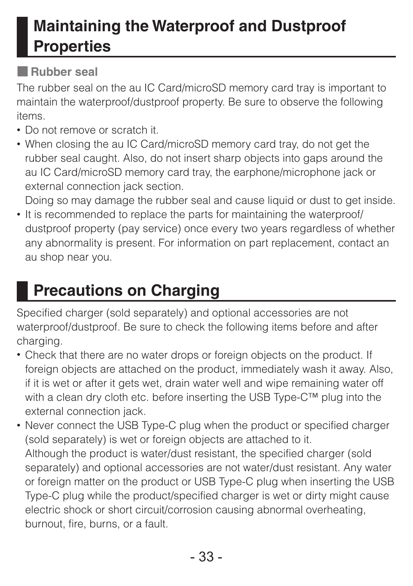# **Maintaining the Waterproof and Dustproof Properties**

### ■ **Rubber seal**

The rubber seal on the au IC Card/microSD memory card tray is important to maintain the waterproof/dustproof property. Be sure to observe the following items.

- Do not remove or scratch it.
- When closing the au IC Card/microSD memory card tray, do not get the rubber seal caught. Also, do not insert sharp objects into gaps around the au IC Card/microSD memory card tray, the earphone/microphone jack or external connection jack section.

Doing so may damage the rubber seal and cause liquid or dust to get inside.

• It is recommended to replace the parts for maintaining the waterproof/ dustproof property (pay service) once every two years regardless of whether any abnormality is present. For information on part replacement, contact an au shop near you.

# **Precautions on Charging**

Specified charger (sold separately) and optional accessories are not waterproof/dustproof. Be sure to check the following items before and after charging.

- Check that there are no water drops or foreign objects on the product. If foreign objects are attached on the product, immediately wash it away. Also, if it is wet or after it gets wet, drain water well and wipe remaining water off with a clean dry cloth etc. before inserting the USB Type-C™ plug into the external connection jack.
- Never connect the USB Type-C plug when the product or specified charger (sold separately) is wet or foreign objects are attached to it. Although the product is water/dust resistant, the specified charger (sold separately) and optional accessories are not water/dust resistant. Any water or foreign matter on the product or USB Type-C plug when inserting the USB Type-C plug while the product/specified charger is wet or dirty might cause electric shock or short circuit/corrosion causing abnormal overheating, burnout, fire, burns, or a fault.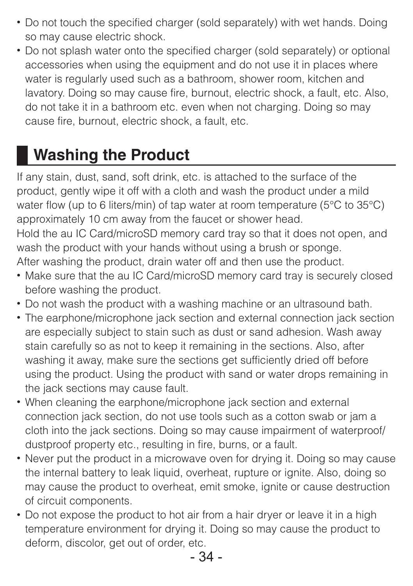- Do not touch the specified charger (sold separately) with wet hands. Doing so may cause electric shock.
- Do not splash water onto the specified charger (sold separately) or optional accessories when using the equipment and do not use it in places where water is regularly used such as a bathroom, shower room, kitchen and lavatory. Doing so may cause fire, burnout, electric shock, a fault, etc. Also, do not take it in a bathroom etc. even when not charging. Doing so may cause fire, burnout, electric shock, a fault, etc.

# **Washing the Product**

If any stain, dust, sand, soft drink, etc. is attached to the surface of the product, gently wipe it off with a cloth and wash the product under a mild water flow (up to 6 liters/min) of tap water at room temperature (5°C to 35°C) approximately 10 cm away from the faucet or shower head. Hold the au IC Card/microSD memory card tray so that it does not open, and wash the product with your hands without using a brush or sponge.

After washing the product, drain water off and then use the product.

- Make sure that the au IC Card/microSD memory card tray is securely closed before washing the product.
- Do not wash the product with a washing machine or an ultrasound bath.
- The earphone/microphone jack section and external connection jack section are especially subject to stain such as dust or sand adhesion. Wash away stain carefully so as not to keep it remaining in the sections. Also, after washing it away, make sure the sections get sufficiently dried off before using the product. Using the product with sand or water drops remaining in the jack sections may cause fault.
- When cleaning the earphone/microphone jack section and external connection jack section, do not use tools such as a cotton swab or jam a cloth into the jack sections. Doing so may cause impairment of waterproof/ dustproof property etc., resulting in fire, burns, or a fault.
- Never put the product in a microwave oven for drying it. Doing so may cause the internal battery to leak liquid, overheat, rupture or ignite. Also, doing so may cause the product to overheat, emit smoke, ignite or cause destruction of circuit components.
- Do not expose the product to hot air from a hair dryer or leave it in a high temperature environment for drying it. Doing so may cause the product to deform, discolor, get out of order, etc.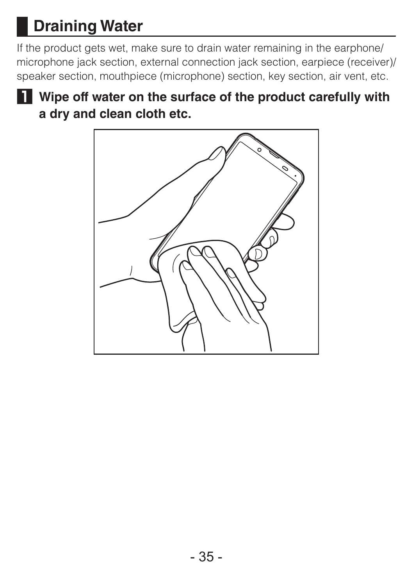# **Draining Water**

If the product gets wet, make sure to drain water remaining in the earphone/ microphone jack section, external connection jack section, earpiece (receiver)/ speaker section, mouthpiece (microphone) section, key section, air vent, etc.



**1 Wipe off water on the surface of the product carefully with a dry and clean cloth etc.**

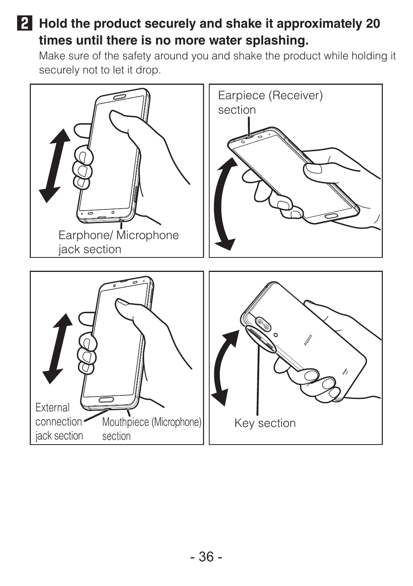### **2 Hold the product securely and shake it approximately 20 times until there is no more water splashing.**

Make sure of the safety around you and shake the product while holding it securely not to let it drop.

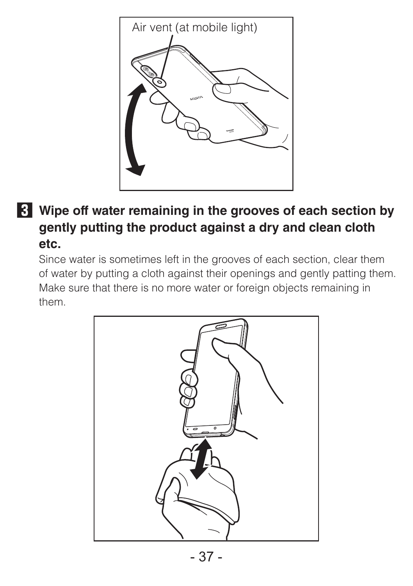

### **3 Wipe off water remaining in the grooves of each section by gently putting the product against a dry and clean cloth etc.**

Since water is sometimes left in the grooves of each section, clear them of water by putting a cloth against their openings and gently patting them. Make sure that there is no more water or foreign objects remaining in them.

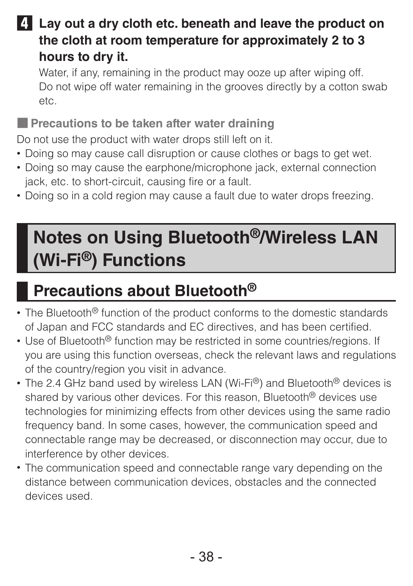**4 Lay out a dry cloth etc. beneath and leave the product on the cloth at room temperature for approximately 2 to 3 hours to dry it.**

Water, if any, remaining in the product may ooze up after wiping off. Do not wipe off water remaining in the grooves directly by a cotton swab etc.

■ **Precautions to be taken after water draining** 

Do not use the product with water drops still left on it.

- Doing so may cause call disruption or cause clothes or bags to get wet.
- Doing so may cause the earphone/microphone jack, external connection jack, etc. to short-circuit, causing fire or a fault.
- Doing so in a cold region may cause a fault due to water drops freezing.

# **Notes on Using Bluetooth®/Wireless LAN (Wi-Fi®) Functions**

# **Precautions about Bluetooth®**

- The Bluetooth® function of the product conforms to the domestic standards of Japan and FCC standards and EC directives, and has been certified.
- Use of Bluetooth<sup>®</sup> function may be restricted in some countries/regions. If you are using this function overseas, check the relevant laws and regulations of the country/region you visit in advance.
- The 2.4 GHz band used by wireless LAN (Wi-Fi®) and Bluetooth® devices is shared by various other devices. For this reason, Bluetooth<sup>®</sup> devices use technologies for minimizing effects from other devices using the same radio frequency band. In some cases, however, the communication speed and connectable range may be decreased, or disconnection may occur, due to interference by other devices.
- The communication speed and connectable range vary depending on the distance between communication devices, obstacles and the connected devices used.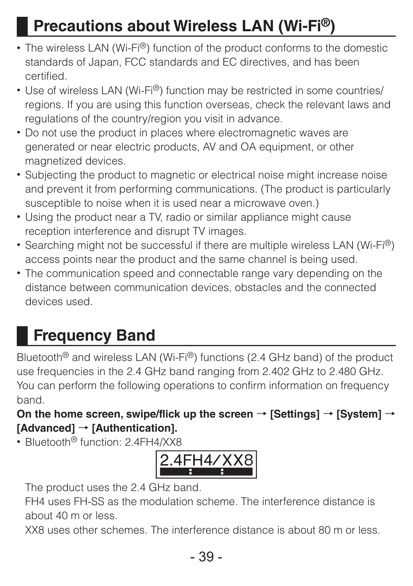# **Precautions about Wireless LAN (Wi-Fi®)**

- The wireless LAN (Wi-Fi®) function of the product conforms to the domestic standards of Japan, FCC standards and EC directives, and has been certified.
- Use of wireless LAN (Wi-Fi®) function may be restricted in some countries/ regions. If you are using this function overseas, check the relevant laws and regulations of the country/region you visit in advance.
- Do not use the product in places where electromagnetic waves are generated or near electric products, AV and OA equipment, or other magnetized devices.
- Subjecting the product to magnetic or electrical noise might increase noise and prevent it from performing communications. (The product is particularly susceptible to noise when it is used near a microwave oven.)
- Using the product near a TV, radio or similar appliance might cause reception interference and disrupt TV images.
- Searching might not be successful if there are multiple wireless LAN (Wi-Fi®) access points near the product and the same channel is being used.
- The communication speed and connectable range vary depending on the distance between communication devices, obstacles and the connected devices used.

# **Frequency Band**

Bluetooth® and wireless LAN (Wi-Fi®) functions (2.4 GHz band) of the product use frequencies in the 2.4 GHz band ranging from 2.402 GHz to 2.480 GHz. You can perform the following operations to confirm information on frequency band.

### **On the home screen, swipe/flick up the screen** → **[Settings]** → **[System]** → **[Advanced]** → **[Authentication].**

• Bluetooth<sup>®</sup> function: 2.4FH4/XX8



The product uses the 2.4 GHz band.

FH4 uses FH-SS as the modulation scheme. The interference distance is about 40 m or less.

XX8 uses other schemes. The interference distance is about 80 m or less.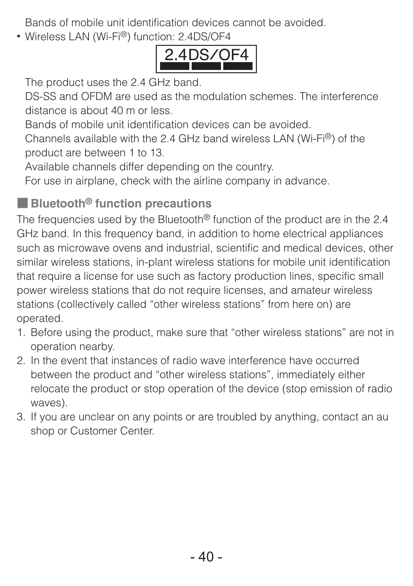Bands of mobile unit identification devices cannot be avoided.

• Wireless LAN (Wi-Fi®) function: 2.4DS/OF4



The product uses the 2.4 GHz band.

DS-SS and OFDM are used as the modulation schemes. The interference distance is about 40 m or less.

Bands of mobile unit identification devices can be avoided.

Channels available with the 2.4 GHz band wireless LAN (Wi-Fi®) of the product are between 1 to 13.

Available channels differ depending on the country.

For use in airplane, check with the airline company in advance.

### ■ **Bluetooth® function precautions**

The frequencies used by the Bluetooth® function of the product are in the 2.4 GHz band. In this frequency band, in addition to home electrical appliances such as microwave ovens and industrial, scientific and medical devices, other similar wireless stations, in-plant wireless stations for mobile unit identification that require a license for use such as factory production lines, specific small power wireless stations that do not require licenses, and amateur wireless stations (collectively called "other wireless stations" from here on) are operated.

- 1. Before using the product, make sure that "other wireless stations" are not in operation nearby.
- 2. In the event that instances of radio wave interference have occurred between the product and "other wireless stations", immediately either relocate the product or stop operation of the device (stop emission of radio waves).
- 3. If you are unclear on any points or are troubled by anything, contact an au shop or Customer Center.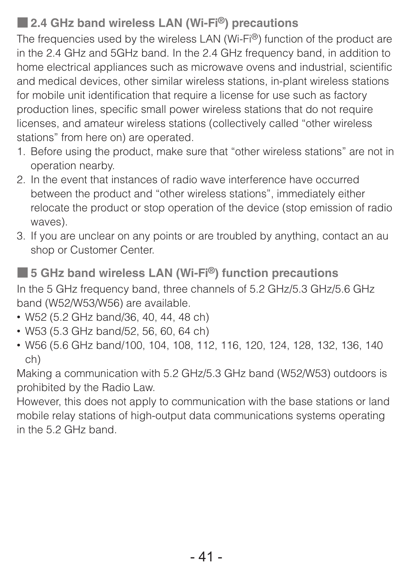### ■ 2.4 GHz band wireless LAN (Wi-Fi<sup>®</sup>) precautions

The frequencies used by the wireless LAN (Wi-Fi®) function of the product are in the 2.4 GHz and 5GHz band. In the 2.4 GHz frequency band, in addition to home electrical appliances such as microwave ovens and industrial, scientific and medical devices, other similar wireless stations, in-plant wireless stations for mobile unit identification that require a license for use such as factory production lines, specific small power wireless stations that do not require licenses, and amateur wireless stations (collectively called "other wireless stations" from here on) are operated.

- 1. Before using the product, make sure that "other wireless stations" are not in operation nearby.
- 2. In the event that instances of radio wave interference have occurred between the product and "other wireless stations", immediately either relocate the product or stop operation of the device (stop emission of radio waves).
- 3. If you are unclear on any points or are troubled by anything, contact an au shop or Customer Center.

■ 5 GHz band wireless LAN (Wi-Fi<sup>®</sup>) function precautions In the 5 GHz frequency band, three channels of 5.2 GHz/5.3 GHz/5.6 GHz band (W52/W53/W56) are available.

- W52 (5.2 GHz band/36, 40, 44, 48 ch)
- W53 (5.3 GHz band/52, 56, 60, 64 ch)
- W56 (5.6 GHz band/100, 104, 108, 112, 116, 120, 124, 128, 132, 136, 140 ch)

Making a communication with 5.2 GHz/5.3 GHz band (W52/W53) outdoors is prohibited by the Radio Law.

However, this does not apply to communication with the base stations or land mobile relay stations of high-output data communications systems operating in the 5.2 GHz band.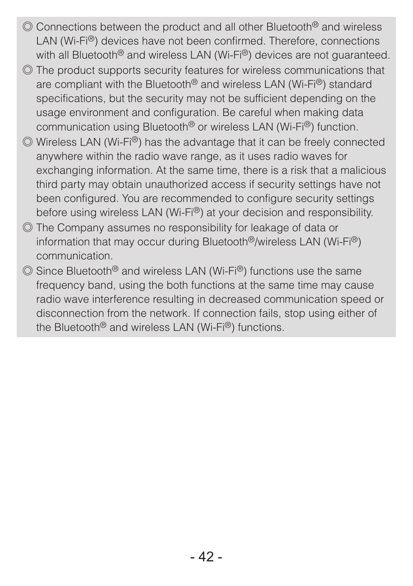- ◎ Connections between the product and all other Bluetooth® and wireless LAN (Wi-Fi®) devices have not been confirmed. Therefore, connections with all Bluetooth<sup>®</sup> and wireless LAN (Wi-Fi<sup>®</sup>) devices are not quaranteed.
- ◎ The product supports security features for wireless communications that are compliant with the Bluetooth® and wireless LAN (Wi-Fi®) standard specifications, but the security may not be sufficient depending on the usage environment and configuration. Be careful when making data communication using Bluetooth® or wireless LAN (Wi-Fi®) function.
- ◎ Wireless LAN (Wi-Fi®) has the advantage that it can be freely connected anywhere within the radio wave range, as it uses radio waves for exchanging information. At the same time, there is a risk that a malicious third party may obtain unauthorized access if security settings have not been configured. You are recommended to configure security settings before using wireless LAN (Wi-Fi®) at your decision and responsibility.
- ◎ The Company assumes no responsibility for leakage of data or information that may occur during Bluetooth®/wireless LAN (Wi-Fi®) communication.
- ◎ Since Bluetooth® and wireless LAN (Wi-Fi®) functions use the same frequency band, using the both functions at the same time may cause radio wave interference resulting in decreased communication speed or disconnection from the network. If connection fails, stop using either of the Bluetooth® and wireless LAN (Wi-Fi®) functions.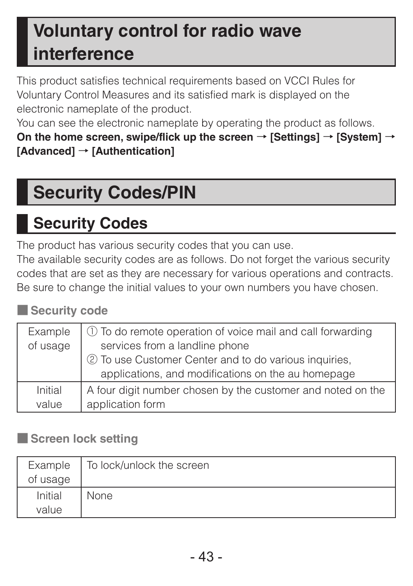# **Voluntary control for radio wave interference**

This product satisfies technical requirements based on VCCI Rules for Voluntary Control Measures and its satisfied mark is displayed on the electronic nameplate of the product

You can see the electronic nameplate by operating the product as follows. **On the home screen, swipe/flick up the screen** → **[Settings]** → **[System]** → **[Advanced]** → **[Authentication]**

# **Security Codes/PIN**

# **Security Codes**

The product has various security codes that you can use.

The available security codes are as follows. Do not forget the various security codes that are set as they are necessary for various operations and contracts. Be sure to change the initial values to your own numbers you have chosen.

■ Security code

| Example<br>of usage | 1 To do remote operation of voice mail and call forwarding<br>services from a landline phone<br>2 To use Customer Center and to do various inquiries,<br>applications, and modifications on the au homepage |
|---------------------|-------------------------------------------------------------------------------------------------------------------------------------------------------------------------------------------------------------|
| Initial             | A four digit number chosen by the customer and noted on the                                                                                                                                                 |
| value               | application form                                                                                                                                                                                            |

#### ■ **Screen lock setting**

| Example  | To lock/unlock the screen |
|----------|---------------------------|
| of usage |                           |
| Initial  | None                      |
| value    |                           |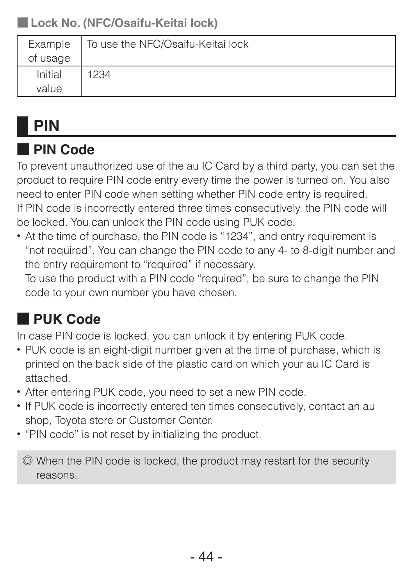### ■ **Lock No. (NFC/Osaifu-Keitai lock)**

| Example  | To use the NFC/Osaifu-Keitai lock |
|----------|-----------------------------------|
| of usage |                                   |
| Initial  | 1234                              |
| value    |                                   |

# **PIN**

### ■ **PIN Code**

To prevent unauthorized use of the au IC Card by a third party, you can set the product to require PIN code entry every time the power is turned on. You also need to enter PIN code when setting whether PIN code entry is required. If PIN code is incorrectly entered three times consecutively, the PIN code will be locked. You can unlock the PIN code using PUK code.

• At the time of purchase, the PIN code is "1234", and entry requirement is "not required". You can change the PIN code to any 4- to 8-digit number and the entry requirement to "required" if necessary.

To use the product with a PIN code "required", be sure to change the PIN code to your own number you have chosen.

### ■ **PUK Code**

In case PIN code is locked, you can unlock it by entering PUK code.

- PUK code is an eight-digit number given at the time of purchase, which is printed on the back side of the plastic card on which your au IC Card is attached.
- After entering PUK code, you need to set a new PIN code.
- If PUK code is incorrectly entered ten times consecutively, contact an au shop, Toyota store or Customer Center.
- "PIN code" is not reset by initializing the product.

◎ When the PIN code is locked, the product may restart for the security reasons.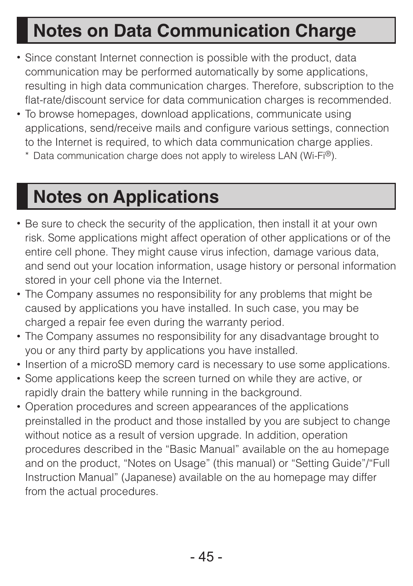# **Notes on Data Communication Charge**

- Since constant Internet connection is possible with the product, data communication may be performed automatically by some applications, resulting in high data communication charges. Therefore, subscription to the flat-rate/discount service for data communication charges is recommended.
- To browse homepages, download applications, communicate using applications, send/receive mails and configure various settings, connection to the Internet is required, to which data communication charge applies.
	- \* Data communication charge does not apply to wireless LAN (Wi-Fi®).

# **Notes on Applications**

- Be sure to check the security of the application, then install it at your own risk. Some applications might affect operation of other applications or of the entire cell phone. They might cause virus infection, damage various data, and send out your location information, usage history or personal information stored in your cell phone via the Internet.
- The Company assumes no responsibility for any problems that might be caused by applications you have installed. In such case, you may be charged a repair fee even during the warranty period.
- The Company assumes no responsibility for any disadvantage brought to you or any third party by applications you have installed.
- Insertion of a microSD memory card is necessary to use some applications.
- Some applications keep the screen turned on while they are active, or rapidly drain the battery while running in the background.
- Operation procedures and screen appearances of the applications preinstalled in the product and those installed by you are subject to change without notice as a result of version upgrade. In addition, operation procedures described in the "Basic Manual" available on the au homepage and on the product, "Notes on Usage" (this manual) or "Setting Guide"/"Full Instruction Manual" (Japanese) available on the au homepage may differ from the actual procedures.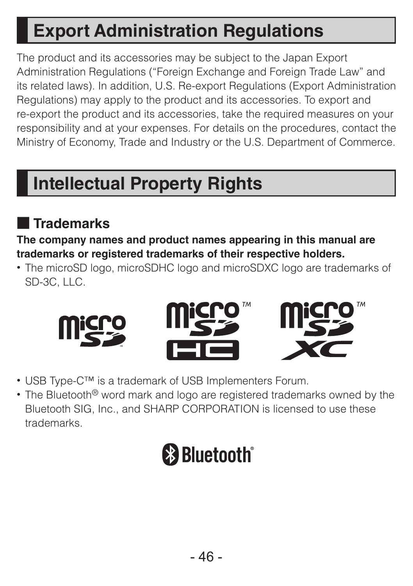# **Export Administration Regulations**

The product and its accessories may be subject to the Japan Export Administration Regulations ("Foreign Exchange and Foreign Trade Law" and its related laws). In addition, U.S. Re-export Regulations (Export Administration Regulations) may apply to the product and its accessories. To export and re-export the product and its accessories, take the required measures on your responsibility and at your expenses. For details on the procedures, contact the Ministry of Economy, Trade and Industry or the U.S. Department of Commerce.

# **Intellectual Property Rights**

### ■ **Trademarks**

**The company names and product names appearing in this manual are trademarks or registered trademarks of their respective holders.**

• The microSD logo, microSDHC logo and microSDXC logo are trademarks of SD-3C, LLC.



- USB Type-C™ is a trademark of USB Implementers Forum.
- The Bluetooth<sup>®</sup> word mark and logo are registered trademarks owned by the Bluetooth SIG, Inc., and SHARP CORPORATION is licensed to use these trademarks.

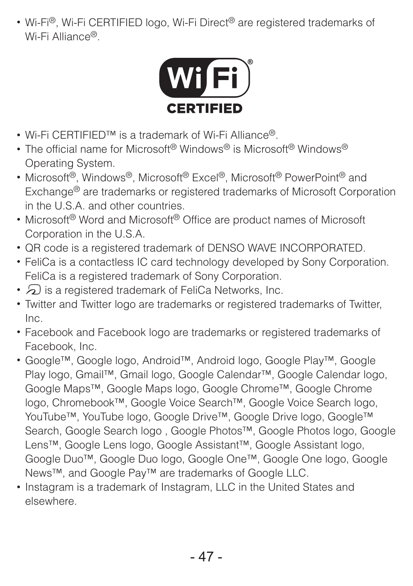• Wi-Fi®, Wi-Fi CERTIFIED logo, Wi-Fi Direct® are registered trademarks of Wi-Fi Alliance®.



- Wi-Fi CERTIFIFD™ is a trademark of Wi-Fi Alliance®
- The official name for Microsoft® Windows® is Microsoft® Windows® Operating System.
- Microsoft®, Windows®, Microsoft® Excel®, Microsoft® PowerPoint® and Exchange<sup>®</sup> are trademarks or registered trademarks of Microsoft Corporation in the U.S.A. and other countries.
- Microsoft® Word and Microsoft® Office are product names of Microsoft Corporation in the U.S.A.
- QR code is a registered trademark of DENSO WAVE INCORPORATED.
- FeliCa is a contactless IC card technology developed by Sony Corporation. FeliCa is a registered trademark of Sony Corporation.
- $\Omega$  is a registered trademark of FeliCa Networks, Inc.
- Twitter and Twitter logo are trademarks or registered trademarks of Twitter, Inc.
- Facebook and Facebook logo are trademarks or registered trademarks of Facebook, Inc.
- Google™, Google logo, Android™, Android logo, Google Play™, Google Play logo, Gmail™, Gmail logo, Google Calendar™, Google Calendar logo, Google Maps™, Google Maps logo, Google Chrome™, Google Chrome logo, Chromebook™, Google Voice Search™, Google Voice Search logo, YouTube™, YouTube logo, Google Drive™, Google Drive logo, Google™ Search, Google Search logo , Google Photos™, Google Photos logo, Google Lens™, Google Lens logo, Google Assistant™, Google Assistant logo, Google Duo™, Google Duo logo, Google One™, Google One logo, Google News™, and Google Pay™ are trademarks of Google LLC.
- Instagram is a trademark of Instagram, LLC in the United States and elsewhere.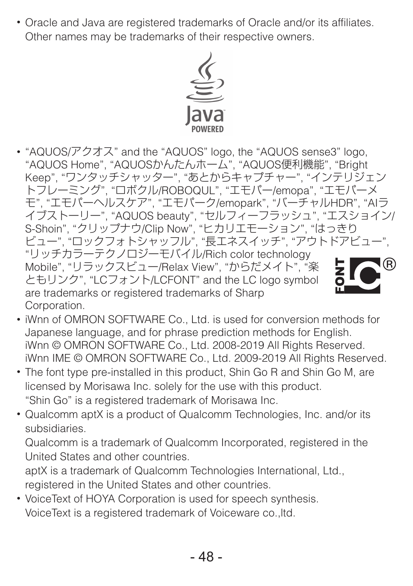• Oracle and Java are registered trademarks of Oracle and/or its affiliates. Other names may be trademarks of their respective owners.



• "AQUOS/アクオス" and the "AQUOS" logo, the "AQUOS sense3" logo, "AQUOS Home", "AQUOSかんたんホーム", "AQUOS便利機能", "Bright Keep", "ワンタッチシャッター", "あとからキャプチャー", "インテリジェン トフレーミング", "ロボクル/ROBOQUL", "エモパー/emopa", "エモパーメ モ", "エモパーヘルスケア", "エモパーク/emopark", "バーチャルHDR", "AIラ イブストーリー", "AQUOS beauty", "セルフィーフラッシュ", "エスショイン/ S-Shoin", "クリップナウ/Clip Now", "ヒカリエモーション", "はっきり ビュー", "ロックフォトシャッフル", "長エネスイッチ", "アウトドアビュー", "リッチカラーテクノロジーモバイル/Rich color technology Mobile", "リラックスビュー/Relax View", "からだメイト", "楽 ともリンク", "LCフォント/LCFONT" and the LC logo symbol are trademarks or registered trademarks of Sharp Corporation.

- iWnn of OMRON SOFTWARE Co., Ltd. is used for conversion methods for Japanese language, and for phrase prediction methods for English. iWnn © OMRON SOFTWARE Co., Ltd. 2008-2019 All Rights Reserved. iWnn IME © OMRON SOFTWARE Co., Ltd. 2009-2019 All Rights Reserved.
- The font type pre-installed in this product, Shin Go R and Shin Go M, are licensed by Morisawa Inc. solely for the use with this product. "Shin Go" is a registered trademark of Morisawa Inc.
- Qualcomm aptX is a product of Qualcomm Technologies, Inc. and/or its subsidiaries.

Qualcomm is a trademark of Qualcomm Incorporated, registered in the United States and other countries.

aptX is a trademark of Qualcomm Technologies International, Ltd., registered in the United States and other countries.

• VoiceText of HOYA Corporation is used for speech synthesis. VoiceText is a registered trademark of Voiceware co.,ltd.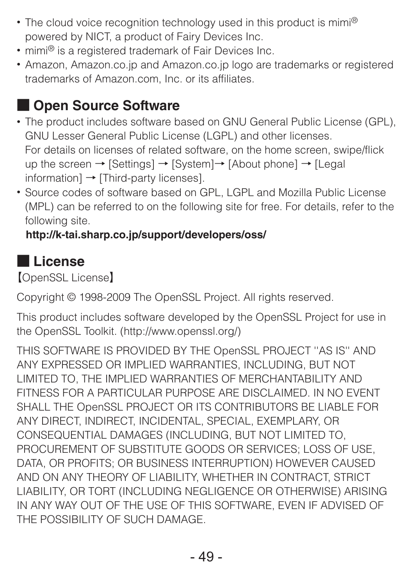- The cloud voice recognition technology used in this product is mimi® powered by NICT, a product of Fairy Devices Inc.
- mimi<sup>®</sup> is a registered trademark of Fair Devices Inc.
- Amazon, Amazon.co.jp and Amazon.co.jp logo are trademarks or registered trademarks of Amazon.com, Inc. or its affiliates.

### ■ **Open Source Software**

- The product includes software based on GNU General Public License (GPL), GNU Lesser General Public License (LGPL) and other licenses. For details on licenses of related software, on the home screen, swipe/flick up the screen → [Settings] → [System]→ [About phone] → [Legal information] → [Third-party licenses].
- Source codes of software based on GPL, LGPL and Mozilla Public License (MPL) can be referred to on the following site for free. For details, refer to the following site.

### (**http://k-tai.sharp.co.jp/support/developers/oss/**)

### ■ **License**

【OpenSSL License】

Copyright © 1998-2009 The OpenSSL Project. All rights reserved.

This product includes software developed by the OpenSSL Project for use in the OpenSSL Toolkit. (http://www.openssl.org/)

THIS SOFTWARE IS PROVIDED BY THE OpenSSL PROJECT ''AS IS'' AND ANY EXPRESSED OR IMPLIED WARRANTIES, INCLUDING, BUT NOT LIMITED TO, THE IMPLIED WARRANTIES OF MERCHANTABILITY AND FITNESS FOR A PARTICULAR PURPOSE ARE DISCLAIMED. IN NO EVENT SHALL THE OpenSSL PROJECT OR ITS CONTRIBUTORS BE LIABLE FOR ANY DIRECT, INDIRECT, INCIDENTAL, SPECIAL, EXEMPLARY, OR CONSEQUENTIAL DAMAGES (INCLUDING, BUT NOT LIMITED TO, PROCUREMENT OF SUBSTITUTE GOODS OR SERVICES: LOSS OF USE, DATA, OR PROFITS; OR BUSINESS INTERRUPTION) HOWEVER CAUSED AND ON ANY THEORY OF LIABILITY, WHETHER IN CONTRACT, STRICT LIABILITY, OR TORT (INCLUDING NEGLIGENCE OR OTHERWISE) ARISING IN ANY WAY OUT OF THE USE OF THIS SOFTWARE, EVEN IF ADVISED OF THE POSSIBILITY OF SUCH DAMAGE.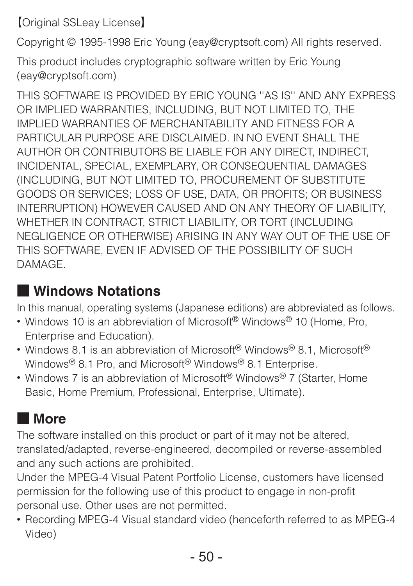【Original SSLeay License】

Copyright © 1995-1998 Eric Young (eay@cryptsoft.com) All rights reserved.

This product includes cryptographic software written by Eric Young (eay@cryptsoft.com)

THIS SOFTWARE IS PROVIDED BY ERIC YOUNG ''AS IS'' AND ANY EXPRESS OR IMPLIED WARRANTIES, INCLUDING, BUT NOT LIMITED TO, THE IMPLIED WARRANTIES OF MERCHANTABILITY AND FITNESS FOR A PARTICULAR PURPOSE ARE DISCLAIMED. IN NO EVENT SHALL THE AUTHOR OR CONTRIBUTORS BE LIABLE FOR ANY DIRECT, INDIRECT INCIDENTAL, SPECIAL, EXEMPLARY, OR CONSEQUENTIAL DAMAGES (INCLUDING, BUT NOT LIMITED TO, PROCUREMENT OF SUBSTITUTE GOODS OR SERVICES; LOSS OF USE, DATA, OR PROFITS; OR BUSINESS INTERRUPTION) HOWEVER CAUSED AND ON ANY THEORY OF LIABILITY, WHETHER IN CONTRACT, STRICT LIABILITY, OR TORT (INCLUDING NEGLIGENCE OR OTHERWISE) ARISING IN ANY WAY OUT OF THE USE OF THIS SOFTWARE, EVEN IF ADVISED OF THE POSSIBILITY OF SUCH DAMAGE.

### ■ **Windows Notations**

In this manual, operating systems (Japanese editions) are abbreviated as follows.

- Windows 10 is an abbreviation of Microsoft® Windows® 10 (Home, Pro, Enterprise and Education).
- Windows 8.1 is an abbreviation of Microsoft<sup>®</sup> Windows<sup>®</sup> 8.1, Microsoft<sup>®</sup> Windows® 8.1 Pro, and Microsoft® Windows® 8.1 Enterprise.
- Windows 7 is an abbreviation of Microsoft® Windows® 7 (Starter, Home Basic, Home Premium, Professional, Enterprise, Ultimate).

### ■ **More**

The software installed on this product or part of it may not be altered, translated/adapted, reverse-engineered, decompiled or reverse-assembled and any such actions are prohibited.

Under the MPEG-4 Visual Patent Portfolio License, customers have licensed permission for the following use of this product to engage in non-profit personal use. Other uses are not permitted.

• Recording MPEG-4 Visual standard video (henceforth referred to as MPEG-4 Video)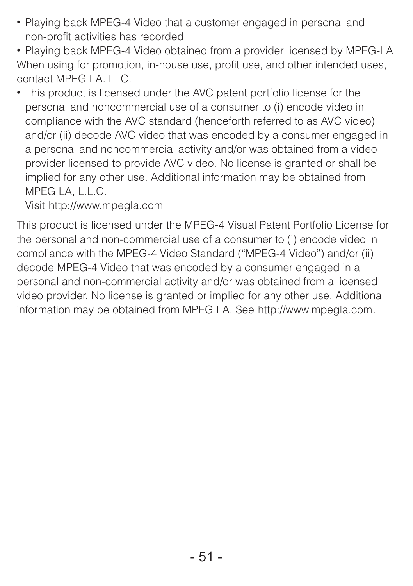- Playing back MPEG-4 Video that a customer engaged in personal and non-profit activities has recorded
- Playing back MPEG-4 Video obtained from a provider licensed by MPEG-LA When using for promotion, in-house use, profit use, and other intended uses contact MPEG LA. LLC.
- This product is licensed under the AVC patent portfolio license for the personal and noncommercial use of a consumer to (i) encode video in compliance with the AVC standard (henceforth referred to as AVC video) and/or (ii) decode AVC video that was encoded by a consumer engaged in a personal and noncommercial activity and/or was obtained from a video provider licensed to provide AVC video. No license is granted or shall be implied for any other use. Additional information may be obtained from MPEG LA, L.L.C.

Visit http://www.mpegla.com

This product is licensed under the MPEG-4 Visual Patent Portfolio License for the personal and non-commercial use of a consumer to (i) encode video in compliance with the MPEG-4 Video Standard ("MPEG-4 Video") and/or (ii) decode MPEG-4 Video that was encoded by a consumer engaged in a personal and non-commercial activity and/or was obtained from a licensed video provider. No license is granted or implied for any other use. Additional information may be obtained from MPEG LA. See http://www.mpegla.com.